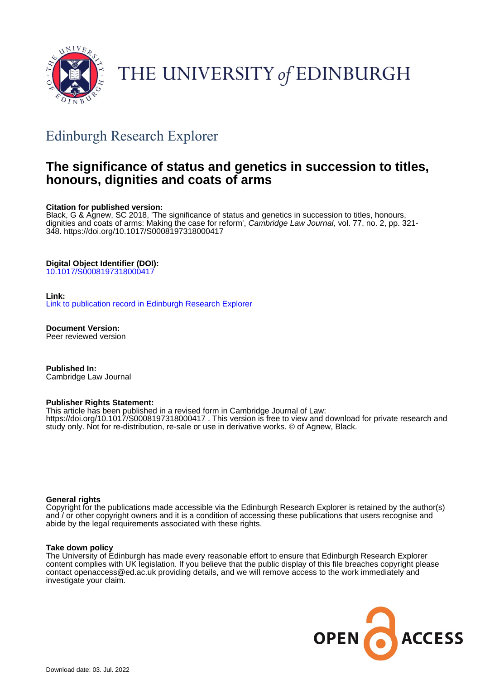

# THE UNIVERSITY of EDINBURGH

# Edinburgh Research Explorer

# **The significance of status and genetics in succession to titles, honours, dignities and coats of arms**

#### **Citation for published version:**

Black, G & Agnew, SC 2018, 'The significance of status and genetics in succession to titles, honours, dignities and coats of arms: Making the case for reform', Cambridge Law Journal, vol. 77, no. 2, pp. 321-348.<https://doi.org/10.1017/S0008197318000417>

#### **Digital Object Identifier (DOI):**

[10.1017/S0008197318000417](https://doi.org/10.1017/S0008197318000417)

#### **Link:**

[Link to publication record in Edinburgh Research Explorer](https://www.research.ed.ac.uk/en/publications/623063e5-517b-45c9-80da-1577b5b3c8c0)

**Document Version:** Peer reviewed version

**Published In:** Cambridge Law Journal

#### **Publisher Rights Statement:**

This article has been published in a revised form in Cambridge Journal of Law: https://doi.org/10.1017/S0008197318000417 . This version is free to view and download for private research and study only. Not for re-distribution, re-sale or use in derivative works. © of Agnew, Black.

#### **General rights**

Copyright for the publications made accessible via the Edinburgh Research Explorer is retained by the author(s) and / or other copyright owners and it is a condition of accessing these publications that users recognise and abide by the legal requirements associated with these rights.

#### **Take down policy**

The University of Edinburgh has made every reasonable effort to ensure that Edinburgh Research Explorer content complies with UK legislation. If you believe that the public display of this file breaches copyright please contact openaccess@ed.ac.uk providing details, and we will remove access to the work immediately and investigate your claim.

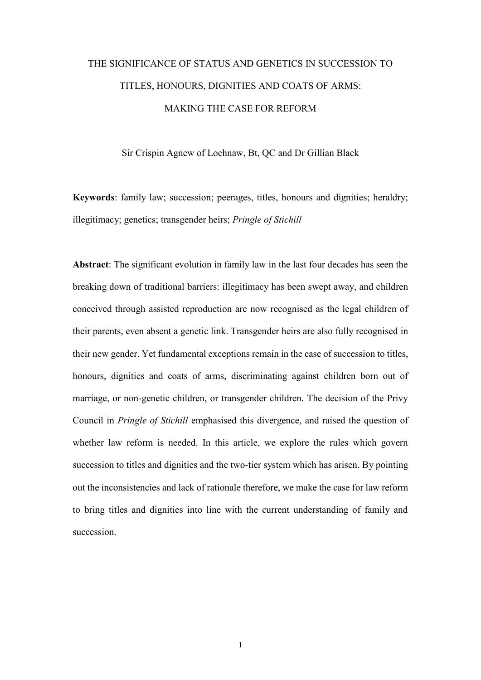# THE SIGNIFICANCE OF STATUS AND GENETICS IN SUCCESSION TO TITLES, HONOURS, DIGNITIES AND COATS OF ARMS: MAKING THE CASE FOR REFORM

Sir Crispin Agnew of Lochnaw, Bt, QC and Dr Gillian Black

**Keywords**: family law; succession; peerages, titles, honours and dignities; heraldry; illegitimacy; genetics; transgender heirs; *Pringle of Stichill*

**Abstract**: The significant evolution in family law in the last four decades has seen the breaking down of traditional barriers: illegitimacy has been swept away, and children conceived through assisted reproduction are now recognised as the legal children of their parents, even absent a genetic link. Transgender heirs are also fully recognised in their new gender. Yet fundamental exceptions remain in the case of succession to titles, honours, dignities and coats of arms, discriminating against children born out of marriage, or non-genetic children, or transgender children. The decision of the Privy Council in *Pringle of Stichill* emphasised this divergence, and raised the question of whether law reform is needed. In this article, we explore the rules which govern succession to titles and dignities and the two-tier system which has arisen. By pointing out the inconsistencies and lack of rationale therefore, we make the case for law reform to bring titles and dignities into line with the current understanding of family and succession.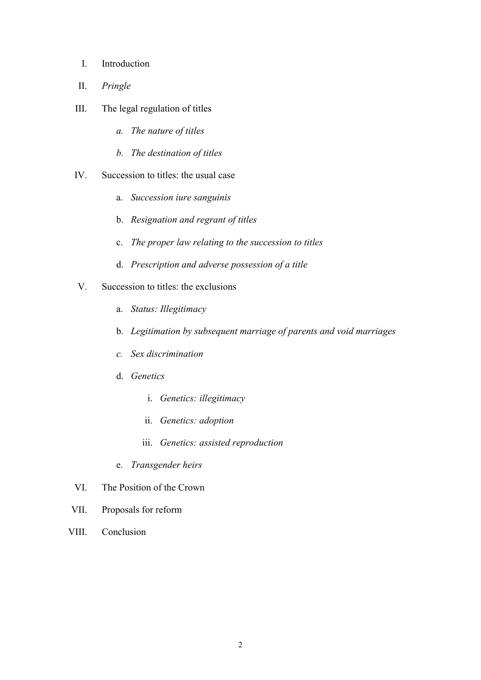- I. Introduction
- II. *Pringle*
- III. The legal regulation of titles
	- *a. The nature of titles*
	- *b. The destination of titles*
- IV. Succession to titles: the usual case
	- a. *Succession iure sanguinis*
	- b. *Resignation and regrant of titles*
	- c. *The proper law relating to the succession to titles*
	- d. *Prescription and adverse possession of a title*
- V. Succession to titles: the exclusions
	- a. *Status: Illegitimacy*
	- b. *Legitimation by subsequent marriage of parents and void marriages*
	- *c. Sex discrimination*
	- d. *Genetics*
		- i. *Genetics: illegitimacy*
		- ii. *Genetics: adoption*
		- iii. *Genetics: assisted reproduction*
	- e. *Transgender heirs*
- VI. The Position of the Crown
- VII. Proposals for reform
- VIII. Conclusion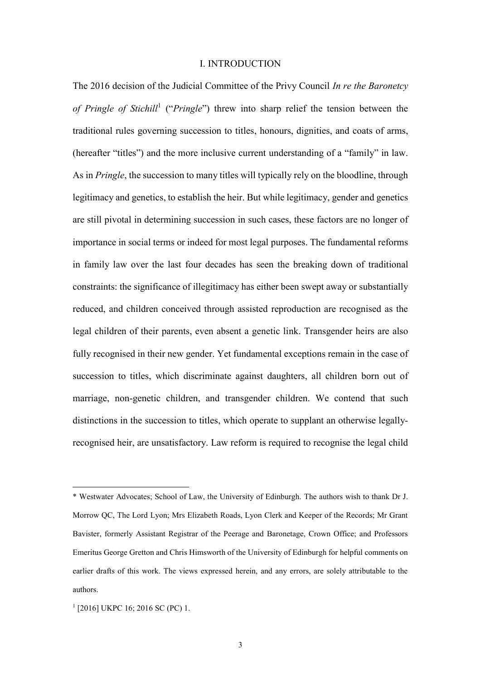#### I. INTRODUCTION

The 2016 decision of the Judicial Committee of the Privy Council *In re the Baronetcy*  of Pringle of Stichill<sup>1</sup> ("Pringle") threw into sharp relief the tension between the traditional rules governing succession to titles, honours, dignities, and coats of arms, (hereafter "titles") and the more inclusive current understanding of a "family" in law. As in *Pringle*, the succession to many titles will typically rely on the bloodline, through legitimacy and genetics, to establish the heir. But while legitimacy, gender and genetics are still pivotal in determining succession in such cases, these factors are no longer of importance in social terms or indeed for most legal purposes. The fundamental reforms in family law over the last four decades has seen the breaking down of traditional constraints: the significance of illegitimacy has either been swept away or substantially reduced, and children conceived through assisted reproduction are recognised as the legal children of their parents, even absent a genetic link. Transgender heirs are also fully recognised in their new gender. Yet fundamental exceptions remain in the case of succession to titles, which discriminate against daughters, all children born out of marriage, non-genetic children, and transgender children. We contend that such distinctions in the succession to titles, which operate to supplant an otherwise legallyrecognised heir, are unsatisfactory. Law reform is required to recognise the legal child

<sup>\*</sup> Westwater Advocates; School of Law, the University of Edinburgh. The authors wish to thank Dr J. Morrow QC, The Lord Lyon; Mrs Elizabeth Roads, Lyon Clerk and Keeper of the Records; Mr Grant Bavister, formerly Assistant Registrar of the Peerage and Baronetage, Crown Office; and Professors Emeritus George Gretton and Chris Himsworth of the University of Edinburgh for helpful comments on earlier drafts of this work. The views expressed herein, and any errors, are solely attributable to the authors.

<sup>1</sup> [2016] UKPC 16; 2016 SC (PC) 1.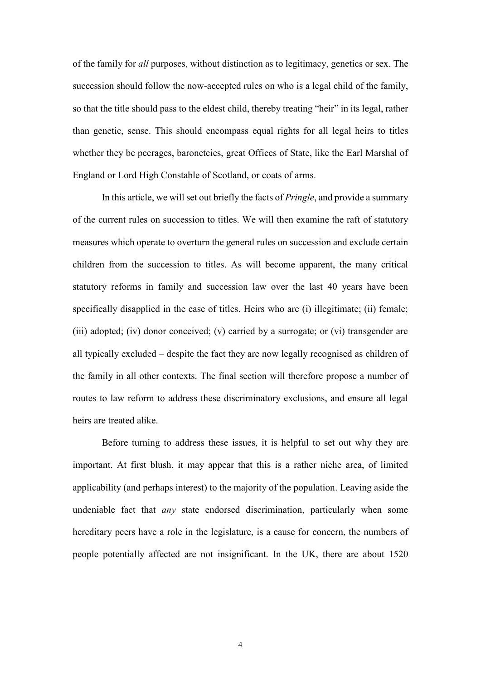of the family for *all* purposes, without distinction as to legitimacy, genetics or sex. The succession should follow the now-accepted rules on who is a legal child of the family, so that the title should pass to the eldest child, thereby treating "heir" in its legal, rather than genetic, sense. This should encompass equal rights for all legal heirs to titles whether they be peerages, baronetcies, great Offices of State, like the Earl Marshal of England or Lord High Constable of Scotland, or coats of arms.

In this article, we will set out briefly the facts of *Pringle*, and provide a summary of the current rules on succession to titles. We will then examine the raft of statutory measures which operate to overturn the general rules on succession and exclude certain children from the succession to titles. As will become apparent, the many critical statutory reforms in family and succession law over the last 40 years have been specifically disapplied in the case of titles. Heirs who are (i) illegitimate; (ii) female; (iii) adopted; (iv) donor conceived; (v) carried by a surrogate; or (vi) transgender are all typically excluded – despite the fact they are now legally recognised as children of the family in all other contexts. The final section will therefore propose a number of routes to law reform to address these discriminatory exclusions, and ensure all legal heirs are treated alike.

Before turning to address these issues, it is helpful to set out why they are important. At first blush, it may appear that this is a rather niche area, of limited applicability (and perhaps interest) to the majority of the population. Leaving aside the undeniable fact that *any* state endorsed discrimination, particularly when some hereditary peers have a role in the legislature, is a cause for concern, the numbers of people potentially affected are not insignificant. In the UK, there are about 1520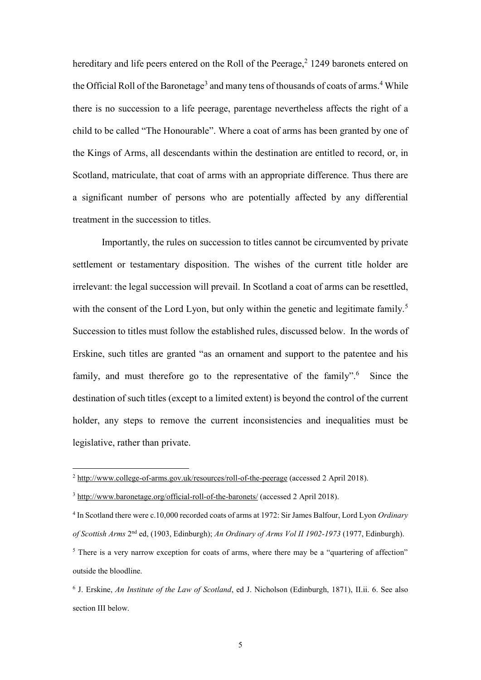hereditary and life peers entered on the Roll of the Peerage,<sup>2</sup> 1249 baronets entered on the Official Roll of the Baronetage<sup>3</sup> and many tens of thousands of coats of arms.<sup>4</sup> While there is no succession to a life peerage, parentage nevertheless affects the right of a child to be called "The Honourable". Where a coat of arms has been granted by one of the Kings of Arms, all descendants within the destination are entitled to record, or, in Scotland, matriculate, that coat of arms with an appropriate difference. Thus there are a significant number of persons who are potentially affected by any differential treatment in the succession to titles.

Importantly, the rules on succession to titles cannot be circumvented by private settlement or testamentary disposition. The wishes of the current title holder are irrelevant: the legal succession will prevail. In Scotland a coat of arms can be resettled, with the consent of the Lord Lyon, but only within the genetic and legitimate family.<sup>5</sup> Succession to titles must follow the established rules, discussed below. In the words of Erskine, such titles are granted "as an ornament and support to the patentee and his family, and must therefore go to the representative of the family".<sup>6</sup> Since the destination of such titles (except to a limited extent) is beyond the control of the current holder, any steps to remove the current inconsistencies and inequalities must be legislative, rather than private.

<sup>2</sup> <http://www.college-of-arms.gov.uk/resources/roll-of-the-peerage> (accessed 2 April 2018).

<sup>&</sup>lt;sup>3</sup> <http://www.baronetage.org/official-roll-of-the-baronets/> (accessed 2 April 2018).

<sup>4</sup> In Scotland there were c.10,000 recorded coats of arms at 1972: Sir James Balfour, Lord Lyon *Ordinary of Scottish Arms* 2 nd ed, (1903, Edinburgh); *An Ordinary of Arms Vol II 1902-1973* (1977, Edinburgh).

<sup>&</sup>lt;sup>5</sup> There is a very narrow exception for coats of arms, where there may be a "quartering of affection" outside the bloodline.

<sup>6</sup> J. Erskine, *An Institute of the Law of Scotland*, ed J. Nicholson (Edinburgh, 1871), II.ii. 6. See also section III below.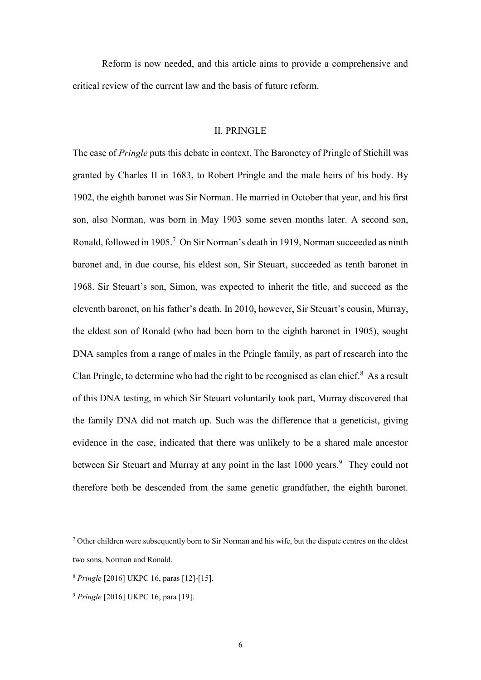Reform is now needed, and this article aims to provide a comprehensive and critical review of the current law and the basis of future reform.

### II. PRINGLE

The case of *Pringle* puts this debate in context. The Baronetcy of Pringle of Stichill was granted by Charles II in 1683, to Robert Pringle and the male heirs of his body. By 1902, the eighth baronet was Sir Norman. He married in October that year, and his first son, also Norman, was born in May 1903 some seven months later. A second son, Ronald, followed in 1905.<sup>7</sup> On Sir Norman's death in 1919, Norman succeeded as ninth baronet and, in due course, his eldest son, Sir Steuart, succeeded as tenth baronet in 1968. Sir Steuart's son, Simon, was expected to inherit the title, and succeed as the eleventh baronet, on his father's death. In 2010, however, Sir Steuart's cousin, Murray, the eldest son of Ronald (who had been born to the eighth baronet in 1905), sought DNA samples from a range of males in the Pringle family, as part of research into the Clan Pringle, to determine who had the right to be recognised as clan chief. $8$  As a result of this DNA testing, in which Sir Steuart voluntarily took part, Murray discovered that the family DNA did not match up. Such was the difference that a geneticist, giving evidence in the case, indicated that there was unlikely to be a shared male ancestor between Sir Steuart and Murray at any point in the last 1000 years.<sup>9</sup> They could not therefore both be descended from the same genetic grandfather, the eighth baronet.

<sup>7</sup> Other children were subsequently born to Sir Norman and his wife, but the dispute centres on the eldest two sons, Norman and Ronald.

<sup>8</sup> *Pringle* [2016] UKPC 16, paras [12]-[15].

<sup>9</sup> *Pringle* [2016] UKPC 16, para [19].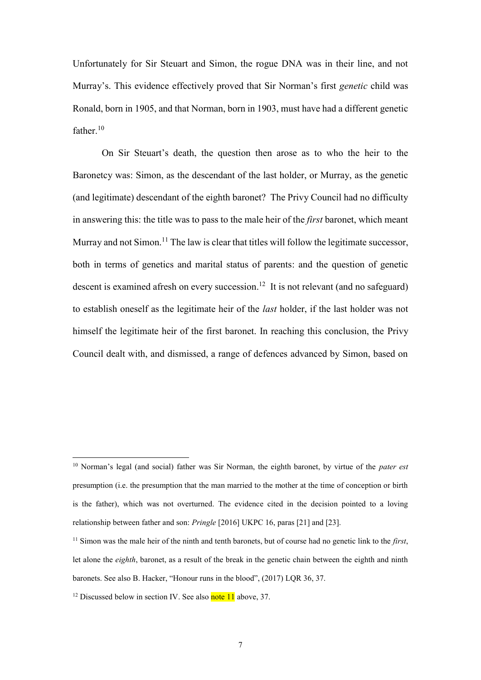Unfortunately for Sir Steuart and Simon, the rogue DNA was in their line, and not Murray's. This evidence effectively proved that Sir Norman's first *genetic* child was Ronald, born in 1905, and that Norman, born in 1903, must have had a different genetic father. 10

On Sir Steuart's death, the question then arose as to who the heir to the Baronetcy was: Simon, as the descendant of the last holder, or Murray, as the genetic (and legitimate) descendant of the eighth baronet? The Privy Council had no difficulty in answering this: the title was to pass to the male heir of the *first* baronet, which meant Murray and not Simon.<sup>11</sup> The law is clear that titles will follow the legitimate successor, both in terms of genetics and marital status of parents: and the question of genetic descent is examined afresh on every succession.<sup>12</sup> It is not relevant (and no safeguard) to establish oneself as the legitimate heir of the *last* holder, if the last holder was not himself the legitimate heir of the first baronet. In reaching this conclusion, the Privy Council dealt with, and dismissed, a range of defences advanced by Simon, based on

<sup>10</sup> Norman's legal (and social) father was Sir Norman, the eighth baronet, by virtue of the *pater est* presumption (i.e. the presumption that the man married to the mother at the time of conception or birth is the father), which was not overturned. The evidence cited in the decision pointed to a loving relationship between father and son: *Pringle* [2016] UKPC 16, paras [21] and [23].

<sup>11</sup> Simon was the male heir of the ninth and tenth baronets, but of course had no genetic link to the *first*, let alone the *eighth*, baronet, as a result of the break in the genetic chain between the eighth and ninth baronets. See also B. Hacker, "Honour runs in the blood", (2017) LQR 36, 37.

<sup>&</sup>lt;sup>12</sup> Discussed below in section IV. See also **note 11** above, 37.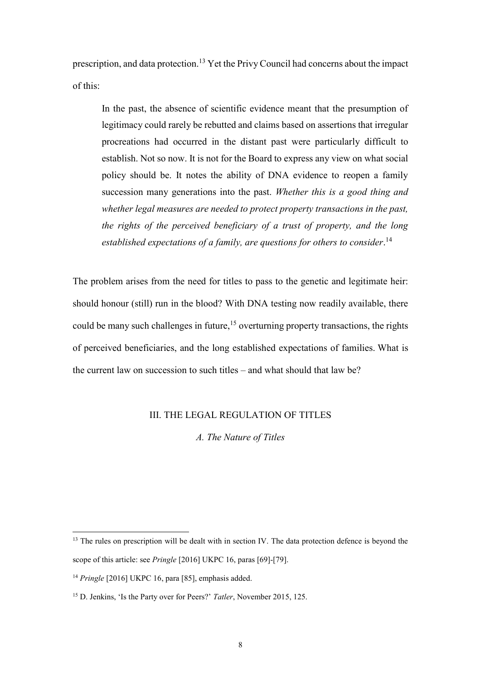prescription, and data protection.<sup>13</sup> Yet the Privy Council had concerns about the impact of this:

In the past, the absence of scientific evidence meant that the presumption of legitimacy could rarely be rebutted and claims based on assertions that irregular procreations had occurred in the distant past were particularly difficult to establish. Not so now. It is not for the Board to express any view on what social policy should be. It notes the ability of DNA evidence to reopen a family succession many generations into the past. *Whether this is a good thing and whether legal measures are needed to protect property transactions in the past, the rights of the perceived beneficiary of a trust of property, and the long established expectations of a family, are questions for others to consider*. 14

The problem arises from the need for titles to pass to the genetic and legitimate heir: should honour (still) run in the blood? With DNA testing now readily available, there could be many such challenges in future,<sup>15</sup> overturning property transactions, the rights of perceived beneficiaries, and the long established expectations of families. What is the current law on succession to such titles – and what should that law be?

# III. THE LEGAL REGULATION OF TITLES

*A. The Nature of Titles*

<sup>&</sup>lt;sup>13</sup> The rules on prescription will be dealt with in section IV. The data protection defence is beyond the scope of this article: see *Pringle* [2016] UKPC 16, paras [69]-[79].

<sup>14</sup> *Pringle* [2016] UKPC 16, para [85], emphasis added.

<sup>15</sup> D. Jenkins, 'Is the Party over for Peers?' *Tatler*, November 2015, 125.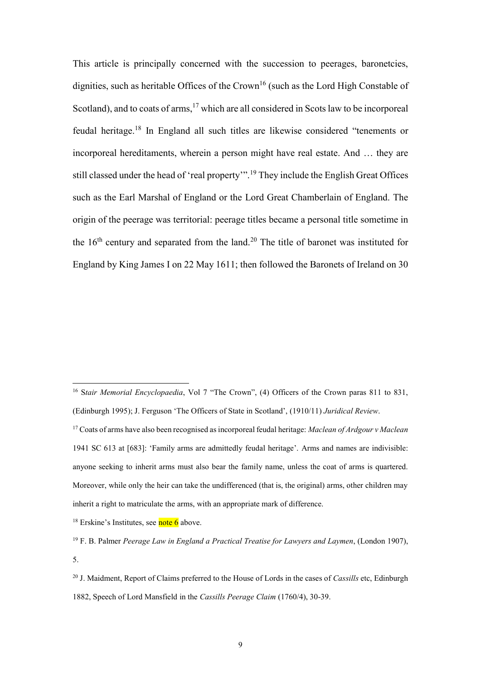This article is principally concerned with the succession to peerages, baronetcies, dignities, such as heritable Offices of the Crown<sup>16</sup> (such as the Lord High Constable of Scotland), and to coats of arms, <sup>17</sup> which are all considered in Scots law to be incorporeal feudal heritage. <sup>18</sup> In England all such titles are likewise considered "tenements or incorporeal hereditaments, wherein a person might have real estate. And … they are still classed under the head of 'real property'".<sup>19</sup> They include the English Great Offices such as the Earl Marshal of England or the Lord Great Chamberlain of England. The origin of the peerage was territorial: peerage titles became a personal title sometime in the  $16<sup>th</sup>$  century and separated from the land.<sup>20</sup> The title of baronet was instituted for England by King James I on 22 May 1611; then followed the Baronets of Ireland on 30

 $18$  Erskine's Institutes, see note 6 above.

<sup>&</sup>lt;sup>16</sup> Stair Memorial Encyclopaedia, Vol 7 "The Crown", (4) Officers of the Crown paras 811 to 831, (Edinburgh 1995); J. Ferguson 'The Officers of State in Scotland', (1910/11) *Juridical Review*.

<sup>17</sup> Coats of arms have also been recognised as incorporeal feudal heritage: *Maclean of Ardgour v Maclean*  1941 SC 613 at [683]: 'Family arms are admittedly feudal heritage'. Arms and names are indivisible: anyone seeking to inherit arms must also bear the family name, unless the coat of arms is quartered. Moreover, while only the heir can take the undifferenced (that is, the original) arms, other children may inherit a right to matriculate the arms, with an appropriate mark of difference.

<sup>19</sup> F. B. Palmer *Peerage Law in England a Practical Treatise for Lawyers and Laymen*, (London 1907), 5.

<sup>20</sup> J. Maidment, Report of Claims preferred to the House of Lords in the cases of *Cassills* etc, Edinburgh 1882, Speech of Lord Mansfield in the *Cassills Peerage Claim* (1760/4), 30-39.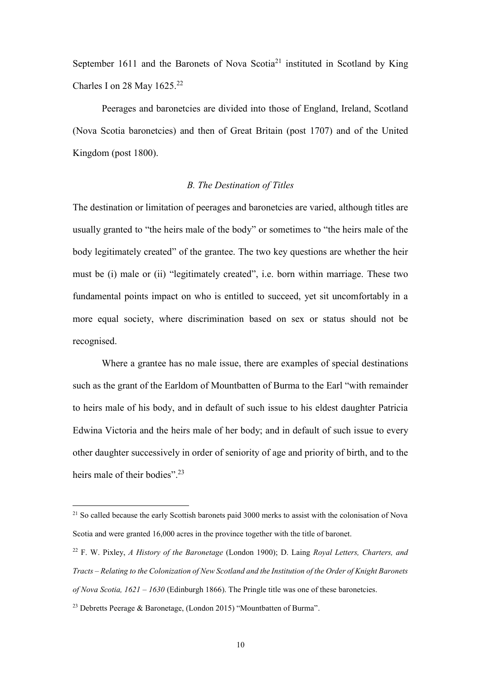September 1611 and the Baronets of Nova Scotia<sup>21</sup> instituted in Scotland by King Charles I on 28 May  $1625.<sup>22</sup>$ 

Peerages and baronetcies are divided into those of England, Ireland, Scotland (Nova Scotia baronetcies) and then of Great Britain (post 1707) and of the United Kingdom (post 1800).

# *B. The Destination of Titles*

The destination or limitation of peerages and baronetcies are varied, although titles are usually granted to "the heirs male of the body" or sometimes to "the heirs male of the body legitimately created" of the grantee. The two key questions are whether the heir must be (i) male or (ii) "legitimately created", i.e. born within marriage. These two fundamental points impact on who is entitled to succeed, yet sit uncomfortably in a more equal society, where discrimination based on sex or status should not be recognised.

Where a grantee has no male issue, there are examples of special destinations such as the grant of the Earldom of Mountbatten of Burma to the Earl "with remainder to heirs male of his body, and in default of such issue to his eldest daughter Patricia Edwina Victoria and the heirs male of her body; and in default of such issue to every other daughter successively in order of seniority of age and priority of birth, and to the heirs male of their bodies".<sup>23</sup>

<sup>&</sup>lt;sup>21</sup> So called because the early Scottish baronets paid 3000 merks to assist with the colonisation of Nova Scotia and were granted 16,000 acres in the province together with the title of baronet.

<sup>22</sup> F. W. Pixley, *A History of the Baronetage* (London 1900); D. Laing *Royal Letters, Charters, and Tracts – Relating to the Colonization of New Scotland and the Institution of the Order of Knight Baronets of Nova Scotia, 1621 – 1630* (Edinburgh 1866). The Pringle title was one of these baronetcies.

<sup>23</sup> Debretts Peerage & Baronetage, (London 2015) "Mountbatten of Burma".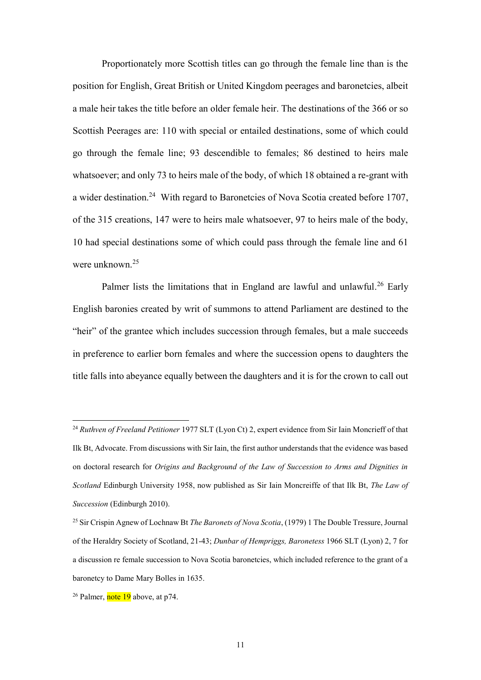Proportionately more Scottish titles can go through the female line than is the position for English, Great British or United Kingdom peerages and baronetcies, albeit a male heir takes the title before an older female heir. The destinations of the 366 or so Scottish Peerages are: 110 with special or entailed destinations, some of which could go through the female line; 93 descendible to females; 86 destined to heirs male whatsoever; and only 73 to heirs male of the body, of which 18 obtained a re-grant with a wider destination.<sup>24</sup> With regard to Baronetcies of Nova Scotia created before 1707, of the 315 creations, 147 were to heirs male whatsoever, 97 to heirs male of the body, 10 had special destinations some of which could pass through the female line and 61 were unknown. 25

Palmer lists the limitations that in England are lawful and unlawful.<sup>26</sup> Early English baronies created by writ of summons to attend Parliament are destined to the "heir" of the grantee which includes succession through females, but a male succeeds in preference to earlier born females and where the succession opens to daughters the title falls into abeyance equally between the daughters and it is for the crown to call out

<sup>24</sup> *Ruthven of Freeland Petitioner* 1977 SLT (Lyon Ct) 2, expert evidence from Sir Iain Moncrieff of that Ilk Bt, Advocate. From discussions with Sir Iain, the first author understands that the evidence was based on doctoral research for *Origins and Background of the Law of Succession to Arms and Dignities in Scotland* Edinburgh University 1958, now published as Sir Iain Moncreiffe of that Ilk Bt, *The Law of Succession* (Edinburgh 2010).

<sup>25</sup> Sir Crispin Agnew of Lochnaw Bt *The Baronets of Nova Scotia*, (1979) 1 The Double Tressure, Journal of the Heraldry Society of Scotland, 21-43; *Dunbar of Hempriggs, Baronetess* 1966 SLT (Lyon) 2, 7 for a discussion re female succession to Nova Scotia baronetcies, which included reference to the grant of a baronetcy to Dame Mary Bolles in 1635.

 $26$  Palmer, note 19 above, at p74.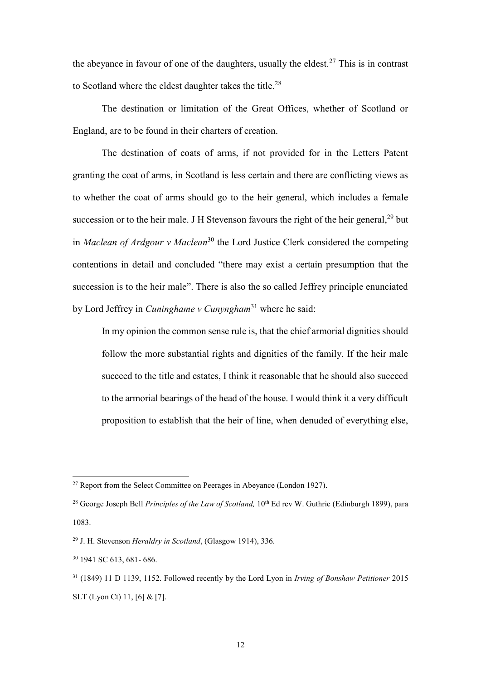the abeyance in favour of one of the daughters, usually the eldest.<sup>27</sup> This is in contrast to Scotland where the eldest daughter takes the title.<sup>28</sup>

The destination or limitation of the Great Offices, whether of Scotland or England, are to be found in their charters of creation.

The destination of coats of arms, if not provided for in the Letters Patent granting the coat of arms, in Scotland is less certain and there are conflicting views as to whether the coat of arms should go to the heir general, which includes a female succession or to the heir male. J H Stevenson favours the right of the heir general,  $29$  but in *Maclean of Ardgour v Maclean*<sup>30</sup> the Lord Justice Clerk considered the competing contentions in detail and concluded "there may exist a certain presumption that the succession is to the heir male". There is also the so called Jeffrey principle enunciated by Lord Jeffrey in *Cuninghame v Cunyngham*<sup>31</sup> where he said:

In my opinion the common sense rule is, that the chief armorial dignities should follow the more substantial rights and dignities of the family. If the heir male succeed to the title and estates, I think it reasonable that he should also succeed to the armorial bearings of the head of the house. I would think it a very difficult proposition to establish that the heir of line, when denuded of everything else,

 $27$  Report from the Select Committee on Peerages in Abeyance (London 1927).

<sup>&</sup>lt;sup>28</sup> George Joseph Bell *Principles of the Law of Scotland*, 10<sup>th</sup> Ed rev W. Guthrie (Edinburgh 1899), para 1083.

<sup>29</sup> J. H. Stevenson *Heraldry in Scotland*, (Glasgow 1914), 336.

<sup>30</sup> 1941 SC 613, 681- 686.

<sup>31</sup> (1849) 11 D 1139, 1152. Followed recently by the Lord Lyon in *Irving of Bonshaw Petitioner* 2015 SLT (Lyon Ct) 11, [6] & [7].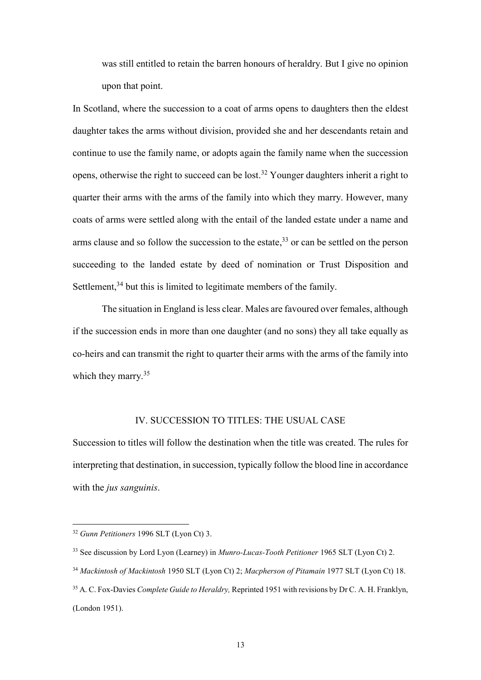was still entitled to retain the barren honours of heraldry. But I give no opinion upon that point.

In Scotland, where the succession to a coat of arms opens to daughters then the eldest daughter takes the arms without division, provided she and her descendants retain and continue to use the family name, or adopts again the family name when the succession opens, otherwise the right to succeed can be lost. <sup>32</sup> Younger daughters inherit a right to quarter their arms with the arms of the family into which they marry. However, many coats of arms were settled along with the entail of the landed estate under a name and arms clause and so follow the succession to the estate,<sup>33</sup> or can be settled on the person succeeding to the landed estate by deed of nomination or Trust Disposition and Settlement,<sup>34</sup> but this is limited to legitimate members of the family.

The situation in England is less clear. Males are favoured over females, although if the succession ends in more than one daughter (and no sons) they all take equally as co-heirs and can transmit the right to quarter their arms with the arms of the family into which they marry.<sup>35</sup>

# IV. SUCCESSION TO TITLES: THE USUAL CASE

Succession to titles will follow the destination when the title was created. The rules for interpreting that destination, in succession, typically follow the blood line in accordance with the *jus sanguinis*.

<sup>32</sup> *Gunn Petitioners* 1996 SLT (Lyon Ct) 3.

<sup>33</sup> See discussion by Lord Lyon (Learney) in *Munro-Lucas-Tooth Petitioner* 1965 SLT (Lyon Ct) 2.

<sup>34</sup> *Mackintosh of Mackintosh* 1950 SLT (Lyon Ct) 2; *Macpherson of Pitamain* 1977 SLT (Lyon Ct) 18.

<sup>35</sup> A. C. Fox-Davies *Complete Guide to Heraldry,* Reprinted 1951 with revisions by Dr C. A. H. Franklyn, (London 1951).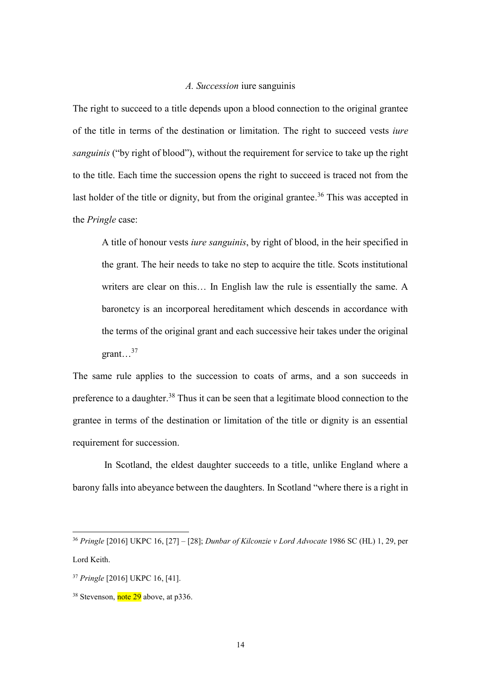#### *A. Succession* iure sanguinis

The right to succeed to a title depends upon a blood connection to the original grantee of the title in terms of the destination or limitation. The right to succeed vests *iure sanguinis* ("by right of blood"), without the requirement for service to take up the right to the title. Each time the succession opens the right to succeed is traced not from the last holder of the title or dignity, but from the original grantee.<sup>36</sup> This was accepted in the *Pringle* case:

A title of honour vests *iure sanguinis*, by right of blood, in the heir specified in the grant. The heir needs to take no step to acquire the title. Scots institutional writers are clear on this… In English law the rule is essentially the same. A baronetcy is an incorporeal hereditament which descends in accordance with the terms of the original grant and each successive heir takes under the original grant... $^{37}$ 

The same rule applies to the succession to coats of arms, and a son succeeds in preference to a daughter.<sup>38</sup> Thus it can be seen that a legitimate blood connection to the grantee in terms of the destination or limitation of the title or dignity is an essential requirement for succession.

In Scotland, the eldest daughter succeeds to a title, unlike England where a barony falls into abeyance between the daughters. In Scotland "where there is a right in

<sup>36</sup> *Pringle* [2016] UKPC 16, [27] – [28]; *Dunbar of Kilconzie v Lord Advocate* 1986 SC (HL) 1, 29, per Lord Keith.

<sup>37</sup> *Pringle* [2016] UKPC 16, [41].

<sup>&</sup>lt;sup>38</sup> Stevenson, note 29 above, at p336.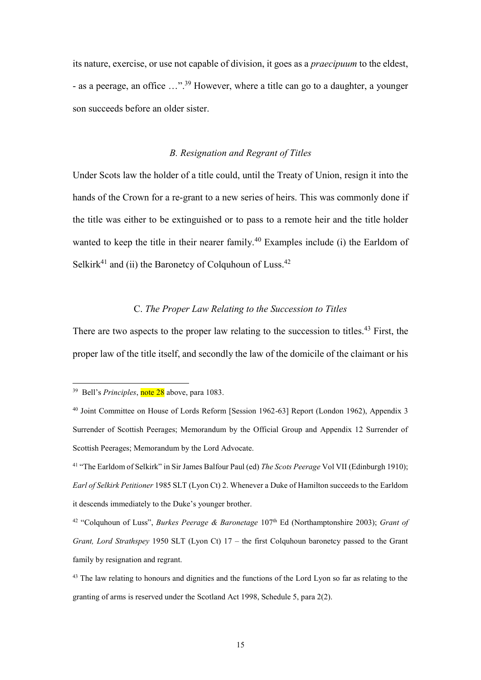its nature, exercise, or use not capable of division, it goes as a *praecipuum* to the eldest, - as a peerage, an office ...".<sup>39</sup> However, where a title can go to a daughter, a younger son succeeds before an older sister.

# *B. Resignation and Regrant of Titles*

Under Scots law the holder of a title could, until the Treaty of Union, resign it into the hands of the Crown for a re-grant to a new series of heirs. This was commonly done if the title was either to be extinguished or to pass to a remote heir and the title holder wanted to keep the title in their nearer family.<sup>40</sup> Examples include (i) the Earldom of Selkirk<sup>41</sup> and (ii) the Baronetcy of Colquhoun of Luss.<sup>42</sup>

# C. *The Proper Law Relating to the Succession to Titles*

There are two aspects to the proper law relating to the succession to titles.<sup>43</sup> First, the proper law of the title itself, and secondly the law of the domicile of the claimant or his

<sup>&</sup>lt;sup>39</sup> Bell's *Principles*, note 28 above, para 1083.

<sup>40</sup> Joint Committee on House of Lords Reform [Session 1962-63] Report (London 1962), Appendix 3 Surrender of Scottish Peerages; Memorandum by the Official Group and Appendix 12 Surrender of Scottish Peerages; Memorandum by the Lord Advocate.

<sup>41</sup> "The Earldom of Selkirk" in Sir James Balfour Paul (ed) *The Scots Peerage* Vol VII (Edinburgh 1910); *Earl of Selkirk Petitioner* 1985 SLT (Lyon Ct) 2. Whenever a Duke of Hamilton succeeds to the Earldom it descends immediately to the Duke's younger brother.

<sup>&</sup>lt;sup>42</sup> "Colquhoun of Luss", *Burkes Peerage & Baronetage* 107<sup>th</sup> Ed (Northamptonshire 2003); *Grant of Grant, Lord Strathspey* 1950 SLT (Lyon Ct) 17 – the first Colquhoun baronetcy passed to the Grant family by resignation and regrant.

<sup>&</sup>lt;sup>43</sup> The law relating to honours and dignities and the functions of the Lord Lyon so far as relating to the granting of arms is reserved under the Scotland Act 1998, Schedule 5, para 2(2).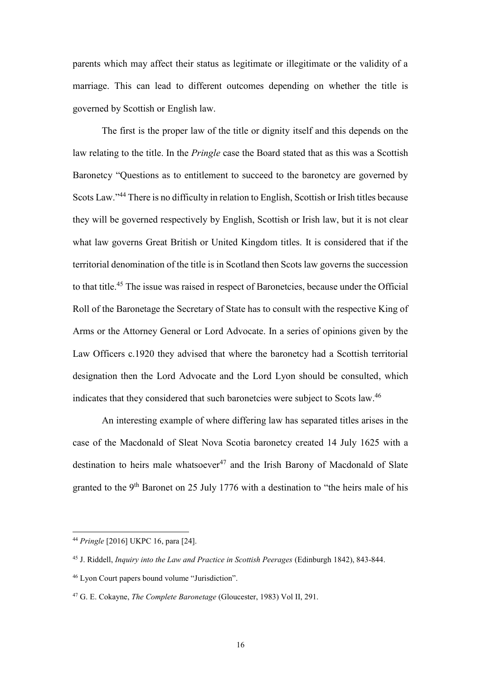parents which may affect their status as legitimate or illegitimate or the validity of a marriage. This can lead to different outcomes depending on whether the title is governed by Scottish or English law.

The first is the proper law of the title or dignity itself and this depends on the law relating to the title. In the *Pringle* case the Board stated that as this was a Scottish Baronetcy "Questions as to entitlement to succeed to the baronetcy are governed by Scots Law."<sup>44</sup> There is no difficulty in relation to English, Scottish or Irish titles because they will be governed respectively by English, Scottish or Irish law, but it is not clear what law governs Great British or United Kingdom titles. It is considered that if the territorial denomination of the title is in Scotland then Scots law governs the succession to that title.<sup>45</sup> The issue was raised in respect of Baronetcies, because under the Official Roll of the Baronetage the Secretary of State has to consult with the respective King of Arms or the Attorney General or Lord Advocate. In a series of opinions given by the Law Officers c.1920 they advised that where the baronetcy had a Scottish territorial designation then the Lord Advocate and the Lord Lyon should be consulted, which indicates that they considered that such baronetcies were subject to Scots law.<sup>46</sup>

An interesting example of where differing law has separated titles arises in the case of the Macdonald of Sleat Nova Scotia baronetcy created 14 July 1625 with a destination to heirs male whatsoever<sup>47</sup> and the Irish Barony of Macdonald of Slate granted to the 9<sup>th</sup> Baronet on 25 July 1776 with a destination to "the heirs male of his

<sup>44</sup> *Pringle* [2016] UKPC 16, para [24].

<sup>45</sup> J. Riddell, *Inquiry into the Law and Practice in Scottish Peerages* (Edinburgh 1842), 843-844.

<sup>46</sup> Lyon Court papers bound volume "Jurisdiction".

<sup>47</sup> G. E. Cokayne, *The Complete Baronetage* (Gloucester, 1983) Vol II, 291.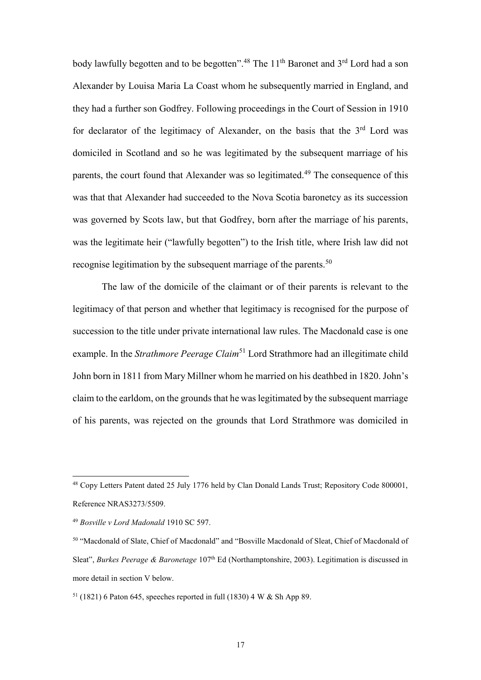body lawfully begotten and to be begotten".<sup>48</sup> The 11<sup>th</sup> Baronet and 3<sup>rd</sup> Lord had a son Alexander by Louisa Maria La Coast whom he subsequently married in England, and they had a further son Godfrey. Following proceedings in the Court of Session in 1910 for declarator of the legitimacy of Alexander, on the basis that the  $3<sup>rd</sup>$  Lord was domiciled in Scotland and so he was legitimated by the subsequent marriage of his parents, the court found that Alexander was so legitimated.<sup>49</sup> The consequence of this was that that Alexander had succeeded to the Nova Scotia baronetcy as its succession was governed by Scots law, but that Godfrey, born after the marriage of his parents, was the legitimate heir ("lawfully begotten") to the Irish title, where Irish law did not recognise legitimation by the subsequent marriage of the parents.<sup>50</sup>

The law of the domicile of the claimant or of their parents is relevant to the legitimacy of that person and whether that legitimacy is recognised for the purpose of succession to the title under private international law rules. The Macdonald case is one example. In the *Strathmore Peerage Claim*<sup>51</sup> Lord Strathmore had an illegitimate child John born in 1811 from Mary Millner whom he married on his deathbed in 1820. John's claim to the earldom, on the grounds that he was legitimated by the subsequent marriage of his parents, was rejected on the grounds that Lord Strathmore was domiciled in

<sup>48</sup> Copy Letters Patent dated 25 July 1776 held by Clan Donald Lands Trust; Repository Code 800001, Reference NRAS3273/5509.

<sup>49</sup> *Bosville v Lord Madonald* 1910 SC 597.

<sup>50</sup> "Macdonald of Slate, Chief of Macdonald" and "Bosville Macdonald of Sleat, Chief of Macdonald of Sleat", *Burkes Peerage & Baronetage* 107<sup>th</sup> Ed (Northamptonshire, 2003). Legitimation is discussed in more detail in section V below.

 $51$  (1821) 6 Paton 645, speeches reported in full (1830) 4 W & Sh App 89.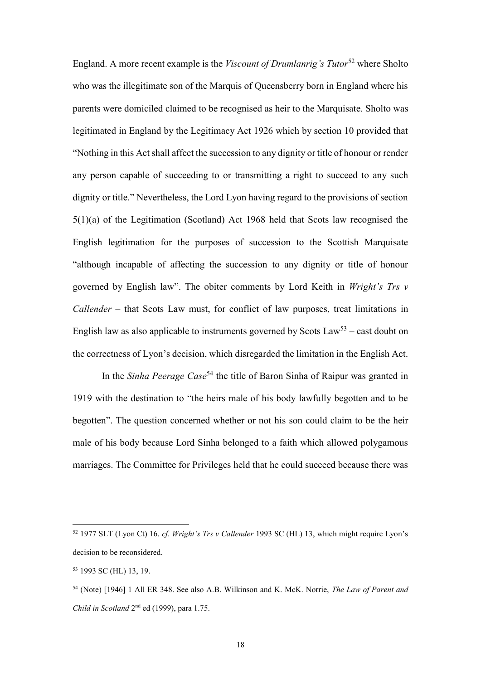England. A more recent example is the *Viscount of Drumlanrig's Tutor*<sup>52</sup> where Sholto who was the illegitimate son of the Marquis of Queensberry born in England where his parents were domiciled claimed to be recognised as heir to the Marquisate. Sholto was legitimated in England by the Legitimacy Act 1926 which by section 10 provided that "Nothing in this Act shall affect the succession to any dignity or title of honour or render any person capable of succeeding to or transmitting a right to succeed to any such dignity or title." Nevertheless, the Lord Lyon having regard to the provisions of section 5(1)(a) of the Legitimation (Scotland) Act 1968 held that Scots law recognised the English legitimation for the purposes of succession to the Scottish Marquisate "although incapable of affecting the succession to any dignity or title of honour governed by English law". The obiter comments by Lord Keith in *Wright's Trs v Callender* – that Scots Law must, for conflict of law purposes, treat limitations in English law as also applicable to instruments governed by Scots  $Law^{53}$  – cast doubt on the correctness of Lyon's decision, which disregarded the limitation in the English Act.

In the *Sinha Peerage Case*<sup>54</sup> the title of Baron Sinha of Raipur was granted in 1919 with the destination to "the heirs male of his body lawfully begotten and to be begotten". The question concerned whether or not his son could claim to be the heir male of his body because Lord Sinha belonged to a faith which allowed polygamous marriages. The Committee for Privileges held that he could succeed because there was

<sup>52</sup> 1977 SLT (Lyon Ct) 16. *cf. Wright's Trs v Callender* 19[93 SC \(HL\) 13](http://login.westlaw.co.uk/maf/wluk/app/document?&suppsrguid=i0ad6290300000158eefe1630a9e74080&docguid=I0A2219D1E42911DA8FC2A0F0355337E9&hitguid=I0A2219D0E42911DA8FC2A0F0355337E9&rank=1&spos=1&epos=1&td=1&crumb-action=append&context=147&resolvein=true), which might require Lyon's decision to be reconsidered.

<sup>53</sup> 1993 SC (HL) 13, 19.

<sup>54</sup> (Note) [1946] 1 All ER 348. See also A.B. Wilkinson and K. McK. Norrie, *The Law of Parent and*  Child in Scotland 2<sup>nd</sup> ed (1999), para 1.75.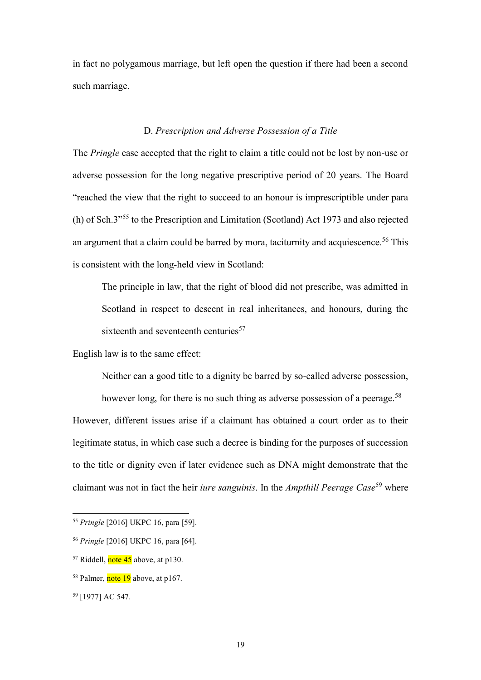in fact no polygamous marriage, but left open the question if there had been a second such marriage.

# D. *Prescription and Adverse Possession of a Title*

The *Pringle* case accepted that the right to claim a title could not be lost by non-use or adverse possession for the long negative prescriptive period of 20 years. The Board "reached the view that the right to succeed to an honour is imprescriptible under para (h) of Sch.3" <sup>55</sup> to the Prescription and Limitation (Scotland) Act 1973 and also rejected an argument that a claim could be barred by mora, taciturnity and acquiescence. <sup>56</sup> This is consistent with the long-held view in Scotland:

The principle in law, that the right of blood did not prescribe, was admitted in Scotland in respect to descent in real inheritances, and honours, during the sixteenth and seventeenth centuries<sup>57</sup>

English law is to the same effect:

Neither can a good title to a dignity be barred by so-called adverse possession,

however long, for there is no such thing as adverse possession of a peerage.<sup>58</sup> However, different issues arise if a claimant has obtained a court order as to their legitimate status, in which case such a decree is binding for the purposes of succession to the title or dignity even if later evidence such as DNA might demonstrate that the claimant was not in fact the heir *iure sanguinis*. In the *Ampthill Peerage Case*<sup>59</sup> where

<sup>55</sup> *Pringle* [2016] UKPC 16, para [59].

<sup>56</sup> *Pringle* [2016] UKPC 16, para [64].

 $57$  Riddell, note 45 above, at p130.

<sup>&</sup>lt;sup>58</sup> Palmer, note 19 above, at p167.

<sup>59</sup> [1977] AC 547.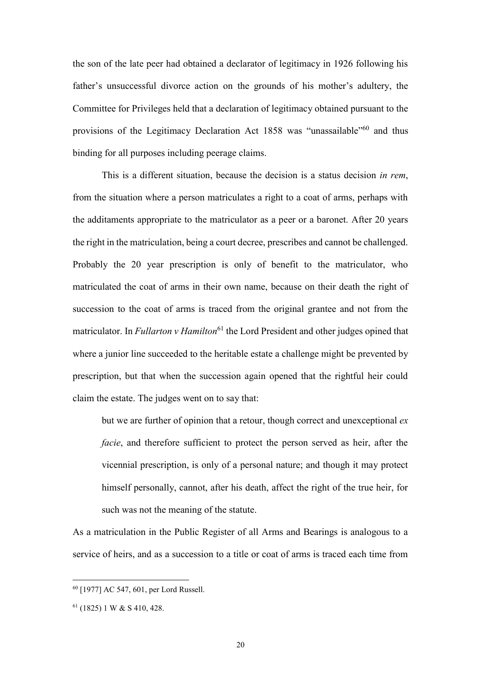the son of the late peer had obtained a declarator of legitimacy in 1926 following his father's unsuccessful divorce action on the grounds of his mother's adultery, the Committee for Privileges held that a declaration of legitimacy obtained pursuant to the provisions of the [Legitimacy Declaration Act 1858](http://login.westlaw.co.uk/maf/wluk/app/document?src=doc&linktype=ref&context=6&crumb-action=replace&docguid=I0910B8C0E44811DA8D70A0E70A78ED65) was "unassailable"<sup>60</sup> and thus binding for all purposes including peerage claims.

This is a different situation, because the decision is a status decision *in rem*, from the situation where a person matriculates a right to a coat of arms, perhaps with the additaments appropriate to the matriculator as a peer or a baronet. After 20 years the right in the matriculation, being a court decree, prescribes and cannot be challenged. Probably the 20 year prescription is only of benefit to the matriculator, who matriculated the coat of arms in their own name, because on their death the right of succession to the coat of arms is traced from the original grantee and not from the matriculator. In *Fullarton v Hamilton*<sup>61</sup> the Lord President and other judges opined that where a junior line succeeded to the heritable estate a challenge might be prevented by prescription, but that when the succession again opened that the rightful heir could claim the estate. The judges went on to say that:

but we are further of opinion that a retour, though correct and unexceptional *ex facie*, and therefore sufficient to protect the person served as heir, after the vicennial prescription, is only of a personal nature; and though it may protect himself personally, cannot, after his death, affect the right of the true heir, for such was not the meaning of the statute.

As a matriculation in the Public Register of all Arms and Bearings is analogous to a service of heirs, and as a succession to a title or coat of arms is traced each time from

<sup>60</sup> [1977] AC 547, 601, per Lord Russell.

 $61$  (1825) 1 W & S 410, 428.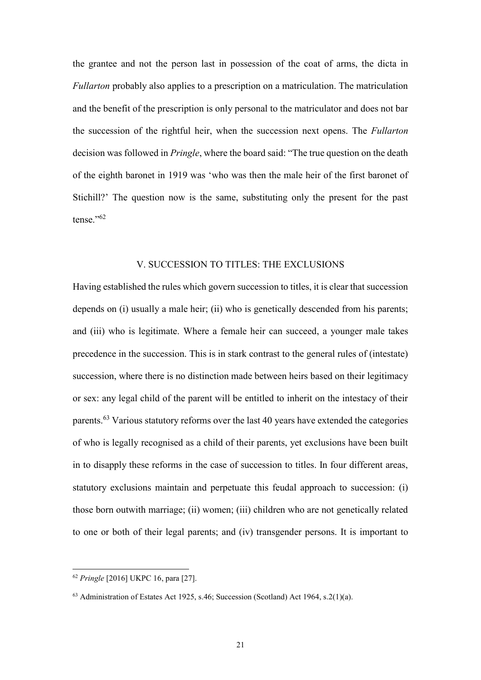the grantee and not the person last in possession of the coat of arms, the dicta in *Fullarton* probably also applies to a prescription on a matriculation. The matriculation and the benefit of the prescription is only personal to the matriculator and does not bar the succession of the rightful heir, when the succession next opens. The *Fullarton* decision was followed in *Pringle*, where the board said: "The true question on the death of the eighth baronet in 1919 was 'who was then the male heir of the first baronet of Stichill?' The question now is the same, substituting only the present for the past tense." 62

#### V. SUCCESSION TO TITLES: THE EXCLUSIONS

Having established the rules which govern succession to titles, it is clear that succession depends on (i) usually a male heir; (ii) who is genetically descended from his parents; and (iii) who is legitimate. Where a female heir can succeed, a younger male takes precedence in the succession. This is in stark contrast to the general rules of (intestate) succession, where there is no distinction made between heirs based on their legitimacy or sex: any legal child of the parent will be entitled to inherit on the intestacy of their parents.<sup>63</sup> Various statutory reforms over the last 40 years have extended the categories of who is legally recognised as a child of their parents, yet exclusions have been built in to disapply these reforms in the case of succession to titles. In four different areas, statutory exclusions maintain and perpetuate this feudal approach to succession: (i) those born outwith marriage; (ii) women; (iii) children who are not genetically related to one or both of their legal parents; and (iv) transgender persons. It is important to

<sup>62</sup> *Pringle* [2016] UKPC 16, para [27].

 $63$  Administration of Estates Act 1925, s.46; Succession (Scotland) Act 1964, s.2(1)(a).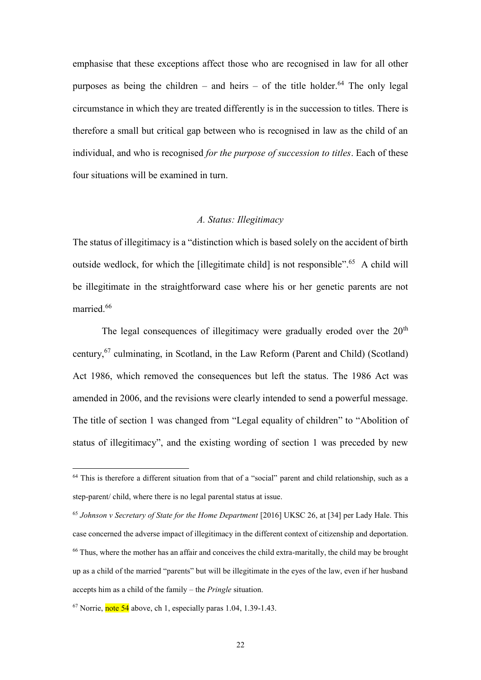emphasise that these exceptions affect those who are recognised in law for all other purposes as being the children – and heirs – of the title holder.<sup>64</sup> The only legal circumstance in which they are treated differently is in the succession to titles. There is therefore a small but critical gap between who is recognised in law as the child of an individual, and who is recognised *for the purpose of succession to titles*. Each of these four situations will be examined in turn.

#### *A. Status: Illegitimacy*

The status of illegitimacy is a "distinction which is based solely on the accident of birth outside wedlock, for which the [illegitimate child] is not responsible".<sup>65</sup> A child will be illegitimate in the straightforward case where his or her genetic parents are not married.<sup>66</sup>

The legal consequences of illegitimacy were gradually eroded over the  $20<sup>th</sup>$ century,<sup>67</sup> culminating, in Scotland, in the Law Reform (Parent and Child) (Scotland) Act 1986, which removed the consequences but left the status. The 1986 Act was amended in 2006, and the revisions were clearly intended to send a powerful message. The title of section 1 was changed from "Legal equality of children" to "Abolition of status of illegitimacy", and the existing wording of section 1 was preceded by new

 $64$  This is therefore a different situation from that of a "social" parent and child relationship, such as a step-parent/ child, where there is no legal parental status at issue.

<sup>65</sup> *Johnson v Secretary of State for the Home Department* [2016] UKSC 26, at [34] per Lady Hale. This case concerned the adverse impact of illegitimacy in the different context of citizenship and deportation. <sup>66</sup> Thus, where the mother has an affair and conceives the child extra-maritally, the child may be brought up as a child of the married "parents" but will be illegitimate in the eyes of the law, even if her husband accepts him as a child of the family – the *Pringle* situation.

 $67$  Norrie, note 54 above, ch 1, especially paras 1.04, 1.39-1.43.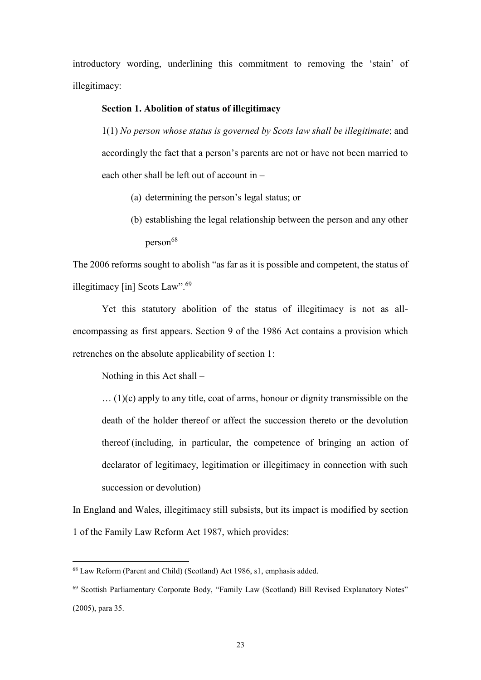introductory wording, underlining this commitment to removing the 'stain' of illegitimacy:

#### **Section 1. Abolition of status of illegitimacy**

1(1) *No person whose status is governed by Scots law shall be illegitimate*; and accordingly the fact that a person's parents are not or have not been married to each other shall be left out of account in –

- (a) determining the person's legal status; or
- (b) establishing the legal relationship between the person and any other person<sup>68</sup>

The 2006 reforms sought to abolish "as far as it is possible and competent, the status of illegitimacy [in] Scots Law".<sup>69</sup>

Yet this statutory abolition of the status of illegitimacy is not as allencompassing as first appears. Section 9 of the 1986 Act contains a provision which retrenches on the absolute applicability of section 1:

Nothing in this Act shall –

1

… (1)(c) apply to any title, coat of arms, honour or dignity transmissible on the death of the holder thereof or affect the succession thereto or the devolution thereof (including, in particular, the competence of bringing an action of declarator of legitimacy, legitimation or illegitimacy in connection with such succession or devolution)

In England and Wales, illegitimacy still subsists, but its impact is modified by section 1 of the Family Law Reform Act 1987, which provides:

<sup>68</sup> Law Reform (Parent and Child) (Scotland) Act 1986, s1, emphasis added.

<sup>&</sup>lt;sup>69</sup> Scottish Parliamentary Corporate Body, "Family Law (Scotland) Bill Revised Explanatory Notes" (2005), para 35.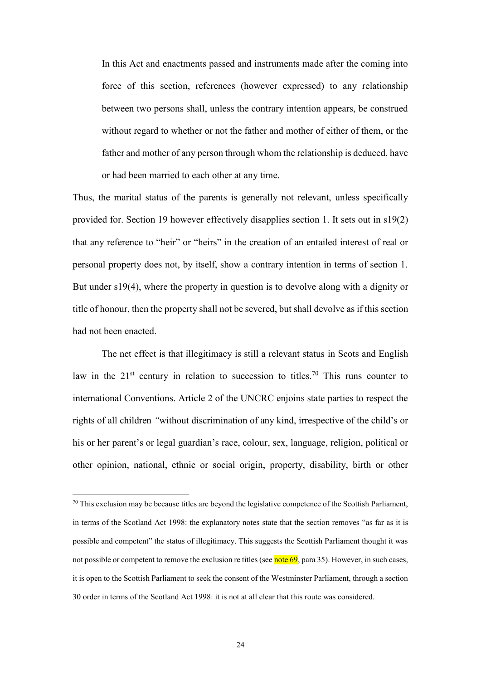In this Act and enactments passed and instruments made after the coming into force of this section, references (however expressed) to any relationship between two persons shall, unless the contrary intention appears, be construed without regard to whether or not the father and mother of either of them, or the father and mother of any person through whom the relationship is deduced, have or had been married to each other at any time.

Thus, the marital status of the parents is generally not relevant, unless specifically provided for. Section 19 however effectively disapplies section 1. It sets out in s19(2) that any reference to "heir" or "heirs" in the creation of an entailed interest of real or personal property does not, by itself, show a contrary intention in terms of section 1. But under s19(4), where the property in question is to devolve along with a dignity or title of honour, then the property shall not be severed, but shall devolve as if this section had not been enacted.

The net effect is that illegitimacy is still a relevant status in Scots and English law in the  $21<sup>st</sup>$  century in relation to succession to titles.<sup>70</sup> This runs counter to international Conventions. Article 2 of the UNCRC enjoins state parties to respect the rights of all children *"*without discrimination of any kind, irrespective of the child's or his or her parent's or legal guardian's race, colour, sex, language, religion, political or other opinion, national, ethnic or social origin, property, disability, birth or other

<sup>&</sup>lt;sup>70</sup> This exclusion may be because titles are beyond the legislative competence of the Scottish Parliament, in terms of the Scotland Act 1998: the explanatory notes state that the section removes "as far as it is possible and competent" the status of illegitimacy. This suggests the Scottish Parliament thought it was not possible or competent to remove the exclusion re titles (see note  $69$ , para 35). However, in such cases, it is open to the Scottish Parliament to seek the consent of the Westminster Parliament, through a section 30 order in terms of the Scotland Act 1998: it is not at all clear that this route was considered.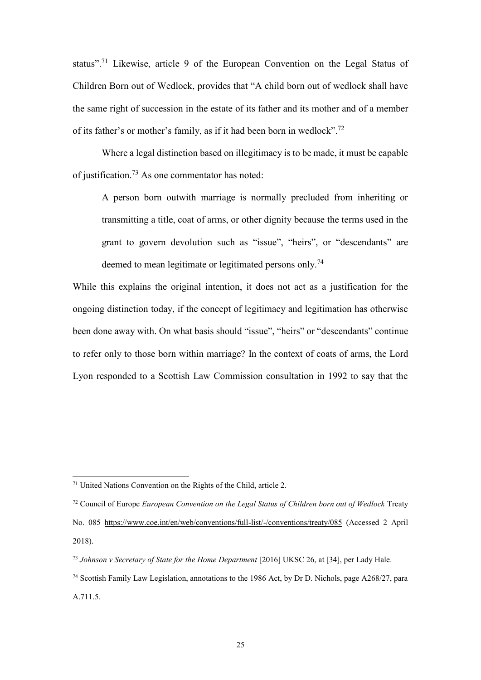status".<sup>71</sup> Likewise, article 9 of the European Convention on the Legal Status of Children Born out of Wedlock, provides that "A child born out of wedlock shall have the same right of succession in the estate of its father and its mother and of a member of its father's or mother's family, as if it had been born in wedlock".<sup>72</sup>

Where a legal distinction based on illegitimacy is to be made, it must be capable of justification.<sup>73</sup> As one commentator has noted:

A person born outwith marriage is normally precluded from inheriting or transmitting a title, coat of arms, or other dignity because the terms used in the grant to govern devolution such as "issue", "heirs", or "descendants" are deemed to mean legitimate or legitimated persons only.<sup>74</sup>

While this explains the original intention, it does not act as a justification for the ongoing distinction today, if the concept of legitimacy and legitimation has otherwise been done away with. On what basis should "issue", "heirs" or "descendants" continue to refer only to those born within marriage? In the context of coats of arms, the Lord Lyon responded to a Scottish Law Commission consultation in 1992 to say that the

<sup>71</sup> United Nations Convention on the Rights of the Child, article 2.

<sup>72</sup> Council of Europe *European Convention on the Legal Status of Children born out of Wedlock* Treaty No. 085<https://www.coe.int/en/web/conventions/full-list/-/conventions/treaty/085> (Accessed 2 April 2018).

<sup>73</sup> *Johnson v Secretary of State for the Home Department* [2016] UKSC 26, at [34], per Lady Hale.

<sup>74</sup> Scottish Family Law Legislation, annotations to the 1986 Act, by Dr D. Nichols, page A268/27, para A.711.5.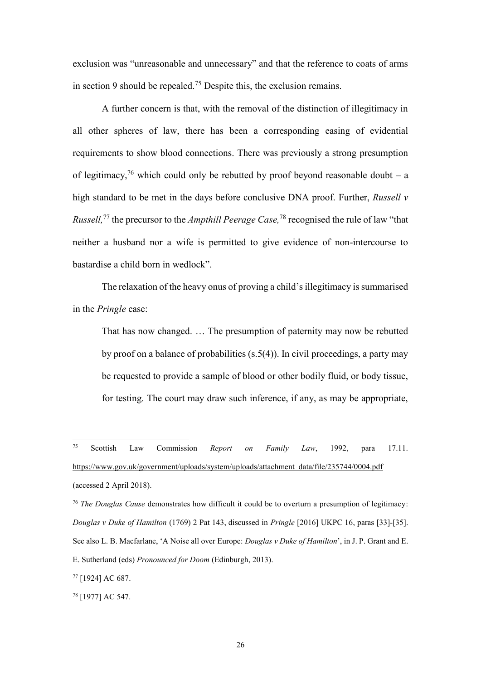exclusion was "unreasonable and unnecessary" and that the reference to coats of arms in section 9 should be repealed.<sup>75</sup> Despite this, the exclusion remains.

A further concern is that, with the removal of the distinction of illegitimacy in all other spheres of law, there has been a corresponding easing of evidential requirements to show blood connections. There was previously a strong presumption of legitimacy,<sup>76</sup> which could only be rebutted by proof beyond reasonable doubt – a high standard to be met in the days before conclusive DNA proof. Further, *Russell v Russell,* <sup>77</sup> the precursor to the *Ampthill Peerage Case,* <sup>78</sup> recognised the rule of law "that neither a husband nor a wife is permitted to give evidence of non-intercourse to bastardise a child born in wedlock".

The relaxation of the heavy onus of proving a child's illegitimacy is summarised in the *Pringle* case:

That has now changed. … The presumption of paternity may now be rebutted by proof on a balance of probabilities (s.5(4)). In civil proceedings, a party may be requested to provide a sample of blood or other bodily fluid, or body tissue, for testing. The court may draw such inference, if any, as may be appropriate,

 $75\,$ <sup>75</sup> Scottish Law Commission *Report on Family Law*, 1992, para 17.11. [https://www.gov.uk/government/uploads/system/uploads/attachment\\_data/file/235744/0004.pdf](https://www.gov.uk/government/uploads/system/uploads/attachment_data/file/235744/0004.pdf) (accessed 2 April 2018).

<sup>76</sup> *The Douglas Cause* demonstrates how difficult it could be to overturn a presumption of legitimacy: *Douglas v Duke of Hamilton* (1769) 2 Pat 143, discussed in *Pringle* [2016] UKPC 16, paras [33]-[35]. See also L. B. Macfarlane, 'A Noise all over Europe: *Douglas v Duke of Hamilton*', in J. P. Grant and E. E. Sutherland (eds) *Pronounced for Doom* (Edinburgh, 2013).

<sup>77</sup> [1924] AC 687.

<sup>78</sup> [1977] AC 547.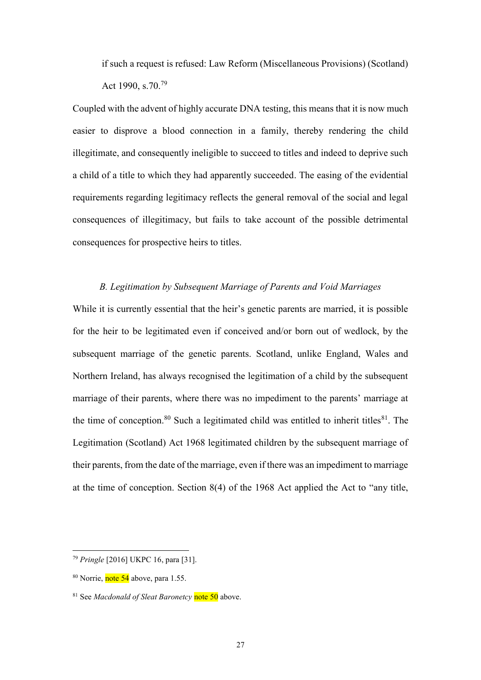if such a request is refused: Law Reform (Miscellaneous Provisions) (Scotland) Act 1990, s.70.<sup>79</sup>

Coupled with the advent of highly accurate DNA testing, this means that it is now much easier to disprove a blood connection in a family, thereby rendering the child illegitimate, and consequently ineligible to succeed to titles and indeed to deprive such a child of a title to which they had apparently succeeded. The easing of the evidential requirements regarding legitimacy reflects the general removal of the social and legal consequences of illegitimacy, but fails to take account of the possible detrimental consequences for prospective heirs to titles.

### *B. Legitimation by Subsequent Marriage of Parents and Void Marriages*

While it is currently essential that the heir's genetic parents are married, it is possible for the heir to be legitimated even if conceived and/or born out of wedlock, by the subsequent marriage of the genetic parents. Scotland, unlike England, Wales and Northern Ireland, has always recognised the legitimation of a child by the subsequent marriage of their parents, where there was no impediment to the parents' marriage at the time of conception.<sup>80</sup> Such a legitimated child was entitled to inherit titles<sup>81</sup>. The Legitimation (Scotland) Act 1968 legitimated children by the subsequent marriage of their parents, from the date of the marriage, even if there was an impediment to marriage at the time of conception. Section 8(4) of the 1968 Act applied the Act to "any title,

<sup>79</sup> *Pringle* [2016] UKPC 16, para [31].

<sup>&</sup>lt;sup>80</sup> Norrie, note 54 above, para 1.55.

<sup>81</sup> See *Macdonald of Sleat Baronetcy* note 50 above.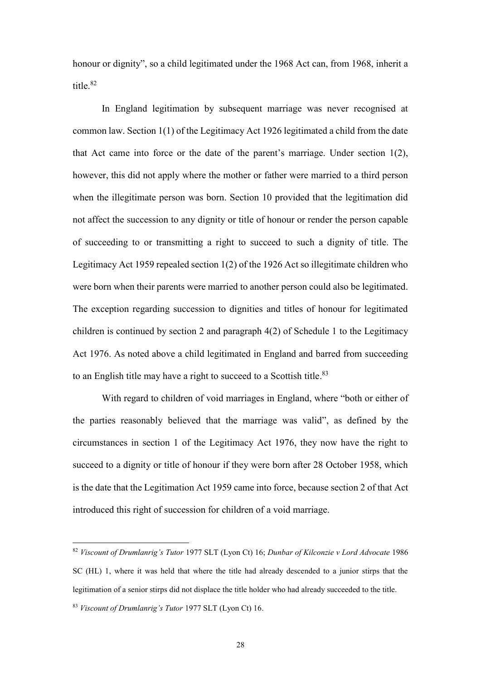honour or dignity", so a child legitimated under the 1968 Act can, from 1968, inherit a title.<sup>82</sup>

In England legitimation by subsequent marriage was never recognised at common law. Section 1(1) of the Legitimacy Act 1926 legitimated a child from the date that Act came into force or the date of the parent's marriage. Under section 1(2), however, this did not apply where the mother or father were married to a third person when the illegitimate person was born. Section 10 provided that the legitimation did not affect the succession to any dignity or title of honour or render the person capable of succeeding to or transmitting a right to succeed to such a dignity of title. The Legitimacy Act 1959 repealed section 1(2) of the 1926 Act so illegitimate children who were born when their parents were married to another person could also be legitimated. The exception regarding succession to dignities and titles of honour for legitimated children is continued by section 2 and paragraph 4(2) of Schedule 1 to the Legitimacy Act 1976. As noted above a child legitimated in England and barred from succeeding to an English title may have a right to succeed to a Scottish title.<sup>83</sup>

With regard to children of void marriages in England, where "both or either of the parties reasonably believed that the marriage was valid", as defined by the circumstances in section 1 of the Legitimacy Act 1976, they now have the right to succeed to a dignity or title of honour if they were born after 28 October 1958, which is the date that the Legitimation Act 1959 came into force, because section 2 of that Act introduced this right of succession for children of a void marriage.

<sup>82</sup> *Viscount of Drumlanrig's Tutor* 1977 SLT (Lyon Ct) 16; *Dunbar of Kilconzie v Lord Advocate* 1986 SC (HL) 1, where it was held that where the title had already descended to a junior stirps that the legitimation of a senior stirps did not displace the title holder who had already succeeded to the title. <sup>83</sup> *Viscount of Drumlanrig's Tutor* 1977 SLT (Lyon Ct) 16.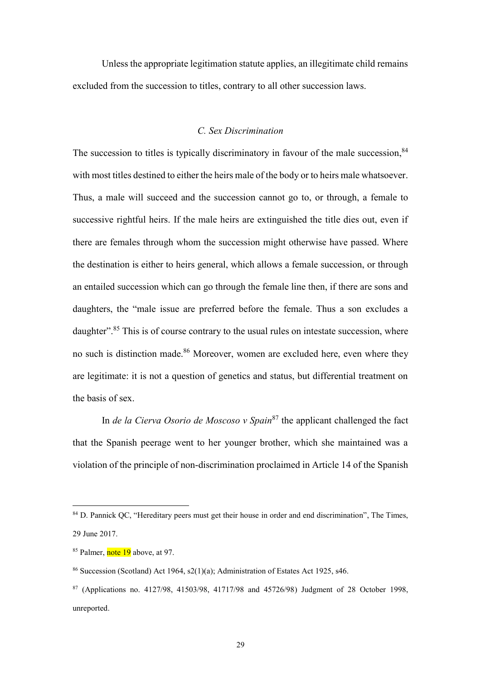Unless the appropriate legitimation statute applies, an illegitimate child remains excluded from the succession to titles, contrary to all other succession laws.

# *C. Sex Discrimination*

The succession to titles is typically discriminatory in favour of the male succession, <sup>84</sup> with most titles destined to either the heirs male of the body or to heirs male whatsoever. Thus, a male will succeed and the succession cannot go to, or through, a female to successive rightful heirs. If the male heirs are extinguished the title dies out, even if there are females through whom the succession might otherwise have passed. Where the destination is either to heirs general, which allows a female succession, or through an entailed succession which can go through the female line then, if there are sons and daughters, the "male issue are preferred before the female. Thus a son excludes a daughter".<sup>85</sup> This is of course contrary to the usual rules on intestate succession, where no such is distinction made.<sup>86</sup> Moreover, women are excluded here, even where they are legitimate: it is not a question of genetics and status, but differential treatment on the basis of sex.

In *de la Cierva Osorio de Moscoso v Spain*<sup>87</sup> the applicant challenged the fact that the Spanish peerage went to her younger brother, which she maintained was a violation of the principle of non-discrimination proclaimed in Article 14 of the Spanish

<sup>&</sup>lt;sup>84</sup> D. Pannick QC, "Hereditary peers must get their house in order and end discrimination", The Times, 29 June 2017.

<sup>&</sup>lt;sup>85</sup> Palmer, note 19 above, at 97.

<sup>86</sup> Succession (Scotland) Act 1964, s2(1)(a); Administration of Estates Act 1925, s46.

<sup>87</sup> (Applications no. 4127/98, 41503/98, 41717/98 and 45726/98) Judgment of 28 October 1998, unreported.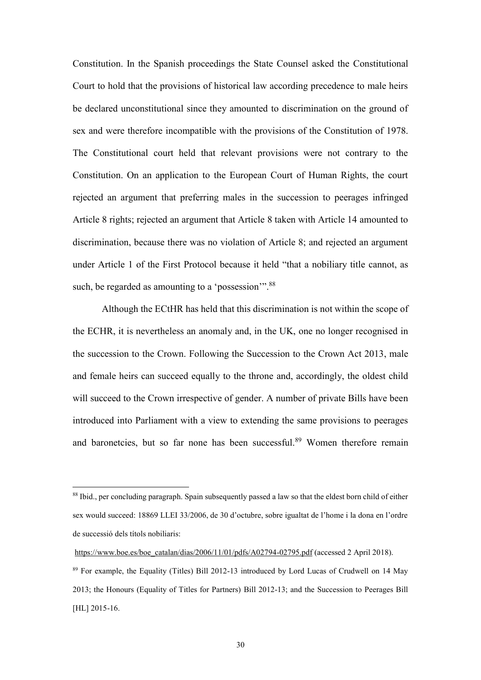Constitution. In the Spanish proceedings the State Counsel asked the Constitutional Court to hold that the provisions of historical law according precedence to male heirs be declared unconstitutional since they amounted to discrimination on the ground of sex and were therefore incompatible with the provisions of the Constitution of 1978. The Constitutional court held that relevant provisions were not contrary to the Constitution. On an application to the European Court of Human Rights, the court rejected an argument that preferring males in the succession to peerages infringed Article 8 rights; rejected an argument that Article 8 taken with Article 14 amounted to discrimination, because there was no violation of Article 8; and rejected an argument under Article 1 of the First Protocol because it held "that a nobiliary title cannot, as such, be regarded as amounting to a 'possession'".<sup>88</sup>

Although the ECtHR has held that this discrimination is not within the scope of the ECHR, it is nevertheless an anomaly and, in the UK, one no longer recognised in the succession to the Crown. Following the Succession to the Crown Act 2013, male and female heirs can succeed equally to the throne and, accordingly, the oldest child will succeed to the Crown irrespective of gender. A number of private Bills have been introduced into Parliament with a view to extending the same provisions to peerages and baronetcies, but so far none has been successful.<sup>89</sup> Women therefore remain

<sup>88</sup> Ibid., per concluding paragraph. Spain subsequently passed a law so that the eldest born child of either sex would succeed: 18869 LLEI 33/2006, de 30 d'octubre, sobre igualtat de l'home i la dona en l'ordre de successió dels títols nobiliaris:

[https://www.boe.es/boe\\_catalan/dias/2006/11/01/pdfs/A02794-02795.pdf](https://www.boe.es/boe_catalan/dias/2006/11/01/pdfs/A02794-02795.pdf) (accessed 2 April 2018).

<sup>89</sup> For example, the Equality (Titles) Bill 2012-13 introduced by Lord Lucas of Crudwell on 14 May 2013; the Honours (Equality of Titles for Partners) Bill 2012-13; and the Succession to Peerages Bill [HL] 2015-16.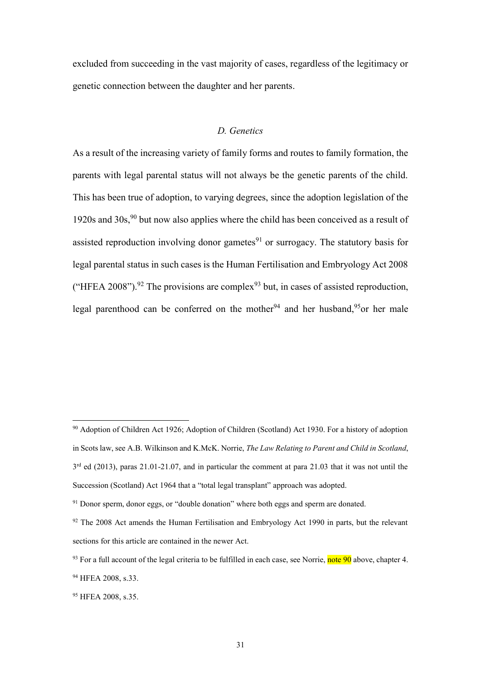excluded from succeeding in the vast majority of cases, regardless of the legitimacy or genetic connection between the daughter and her parents.

# *D. Genetics*

As a result of the increasing variety of family forms and routes to family formation, the parents with legal parental status will not always be the genetic parents of the child. This has been true of adoption, to varying degrees, since the adoption legislation of the 1920s and  $30s$ ,  $90^{\circ}$  but now also applies where the child has been conceived as a result of assisted reproduction involving donor gametes $91$  or surrogacy. The statutory basis for legal parental status in such cases is the Human Fertilisation and Embryology Act 2008 ("HFEA 2008").<sup>92</sup> The provisions are complex<sup>93</sup> but, in cases of assisted reproduction, legal parenthood can be conferred on the mother<sup>94</sup> and her husband,<sup>95</sup>or her male

<sup>90</sup> Adoption of Children Act 1926; Adoption of Children (Scotland) Act 1930. For a history of adoption in Scots law, see A.B. Wilkinson and K.McK. Norrie, *The Law Relating to Parent and Child in Scotland*, 3<sup>rd</sup> ed (2013), paras 21.01-21.07, and in particular the comment at para 21.03 that it was not until the Succession (Scotland) Act 1964 that a "total legal transplant" approach was adopted.

<sup>&</sup>lt;sup>91</sup> Donor sperm, donor eggs, or "double donation" where both eggs and sperm are donated.

 $92$  The 2008 Act amends the Human Fertilisation and Embryology Act 1990 in parts, but the relevant sections for this article are contained in the newer Act.

 $93$  For a full account of the legal criteria to be fulfilled in each case, see Norrie, note 90 above, chapter 4.

<sup>94</sup> HFEA 2008, s.33.

<sup>95</sup> HFEA 2008, s.35.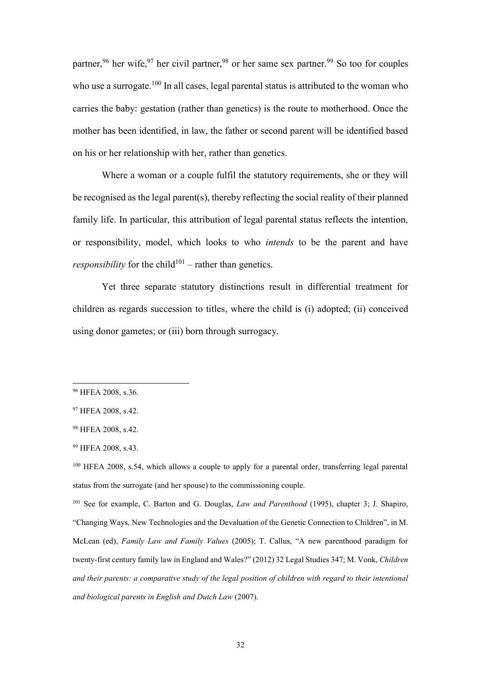partner,<sup>96</sup> her wife,  $97$  her civil partner,  $98$  or her same sex partner.  $99$  So too for couples who use a surrogate.<sup>100</sup> In all cases, legal parental status is attributed to the woman who carries the baby: gestation (rather than genetics) is the route to motherhood. Once the mother has been identified, in law, the father or second parent will be identified based on his or her relationship with her, rather than genetics.

Where a woman or a couple fulfil the statutory requirements, she or they will be recognised as the legal parent(s), thereby reflecting the social reality of their planned family life. In particular, this attribution of legal parental status reflects the intention, or responsibility, model, which looks to who *intends* to be the parent and have *responsibility* for the child<sup>101</sup> – rather than genetics.

Yet three separate statutory distinctions result in differential treatment for children as regards succession to titles, where the child is (i) adopted; (ii) conceived using donor gametes; or (iii) born through surrogacy.

<sup>96</sup> HFEA 2008, s.36.

<sup>&</sup>lt;sup>97</sup> HFEA 2008, s.42.

<sup>98</sup> HFEA 2008, s.42.

<sup>99</sup> HFEA 2008, s.43.

<sup>100</sup> HFEA 2008, s.54, which allows a couple to apply for a parental order, transferring legal parental status from the surrogate (and her spouse) to the commissioning couple.

<sup>101</sup> See for example, C. Barton and G. Douglas, *Law and Parenthood* (1995), chapter 3; J. Shapiro, "Changing Ways, New Technologies and the Devaluation of the Genetic Connection to Children", in M. McLean (ed), *Family Law and Family Values* (2005); T. Callus, "A new parenthood paradigm for twenty-first century family law in England and Wales?" (2012) 32 Legal Studies 347; M. Vonk, *Children and their parents: a comparative study of the legal position of children with regard to their intentional and biological parents in English and Dutch Law* (2007).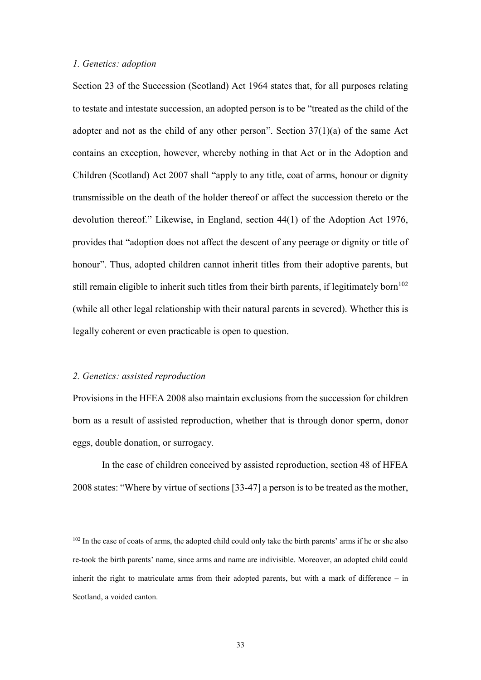#### *1. Genetics: adoption*

Section 23 of the Succession (Scotland) Act 1964 states that, for all purposes relating to testate and intestate succession, an adopted person is to be "treated as the child of the adopter and not as the child of any other person". Section  $37(1)(a)$  of the same Act contains an exception, however, whereby nothing in that Act or in the Adoption and Children (Scotland) Act 2007 shall "apply to any title, coat of arms, honour or dignity transmissible on the death of the holder thereof or affect the succession thereto or the devolution thereof." Likewise, in England, section 44(1) of the Adoption Act 1976, provides that "adoption does not affect the descent of any peerage or dignity or title of honour". Thus, adopted children cannot inherit titles from their adoptive parents, but still remain eligible to inherit such titles from their birth parents, if legitimately born<sup>102</sup> (while all other legal relationship with their natural parents in severed). Whether this is legally coherent or even practicable is open to question.

#### *2. Genetics: assisted reproduction*

1

Provisions in the HFEA 2008 also maintain exclusions from the succession for children born as a result of assisted reproduction, whether that is through donor sperm, donor eggs, double donation, or surrogacy.

In the case of children conceived by assisted reproduction, section 48 of HFEA 2008 states: "Where by virtue of sections [33-47] a person is to be treated as the mother,

<sup>&</sup>lt;sup>102</sup> In the case of coats of arms, the adopted child could only take the birth parents' arms if he or she also re-took the birth parents' name, since arms and name are indivisible. Moreover, an adopted child could inherit the right to matriculate arms from their adopted parents, but with a mark of difference – in Scotland, a voided canton.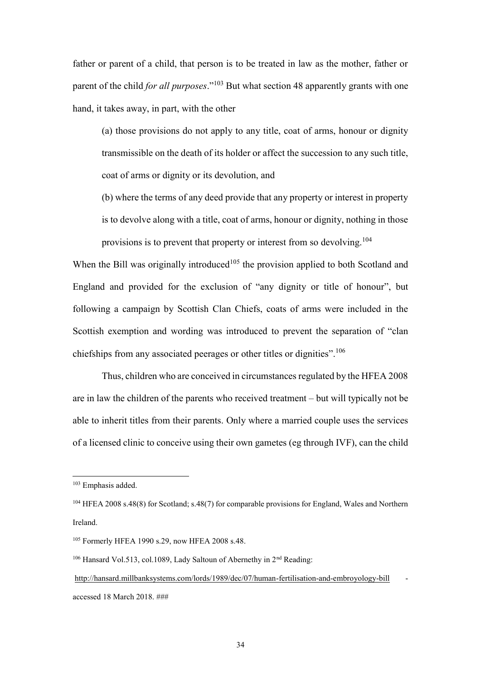father or parent of a child, that person is to be treated in law as the mother, father or parent of the child *for all purposes*." <sup>103</sup> But what section 48 apparently grants with one hand, it takes away, in part, with the other

(a) those provisions do not apply to any title, coat of arms, honour or dignity transmissible on the death of its holder or affect the succession to any such title, coat of arms or dignity or its devolution, and

(b) where the terms of any deed provide that any property or interest in property is to devolve along with a title, coat of arms, honour or dignity, nothing in those provisions is to prevent that property or interest from so devolving.<sup>104</sup>

When the Bill was originally introduced<sup>105</sup> the provision applied to both Scotland and England and provided for the exclusion of "any dignity or title of honour", but following a campaign by Scottish Clan Chiefs, coats of arms were included in the Scottish exemption and wording was introduced to prevent the separation of "clan chiefships from any associated peerages or other titles or dignities".<sup>106</sup>

Thus, children who are conceived in circumstances regulated by the HFEA 2008 are in law the children of the parents who received treatment – but will typically not be able to inherit titles from their parents. Only where a married couple uses the services of a licensed clinic to conceive using their own gametes (eg through IVF), can the child

<sup>103</sup> Emphasis added.

<sup>104</sup> HFEA 2008 s.48(8) for Scotland; s.48(7) for comparable provisions for England, Wales and Northern Ireland.

<sup>105</sup> Formerly HFEA 1990 s.29, now HFEA 2008 s.48.

<sup>&</sup>lt;sup>106</sup> Hansard Vol.513, col.1089, Lady Saltoun of Abernethy in 2<sup>nd</sup> Reading:

<http://hansard.millbanksystems.com/lords/1989/dec/07/human-fertilisation-and-embroyology-bill> accessed 18 March 2018. ###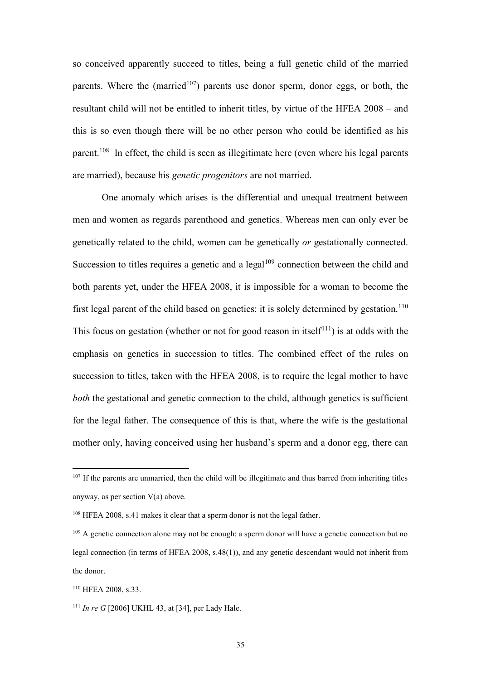so conceived apparently succeed to titles, being a full genetic child of the married parents. Where the (married<sup>107</sup>) parents use donor sperm, donor eggs, or both, the resultant child will not be entitled to inherit titles, by virtue of the HFEA 2008 – and this is so even though there will be no other person who could be identified as his parent.<sup>108</sup> In effect, the child is seen as illegitimate here (even where his legal parents are married), because his *genetic progenitors* are not married.

One anomaly which arises is the differential and unequal treatment between men and women as regards parenthood and genetics. Whereas men can only ever be genetically related to the child, women can be genetically *or* gestationally connected. Succession to titles requires a genetic and a legal<sup>109</sup> connection between the child and both parents yet, under the HFEA 2008, it is impossible for a woman to become the first legal parent of the child based on genetics: it is solely determined by gestation.<sup>110</sup> This focus on gestation (whether or not for good reason in itself<sup>111</sup>) is at odds with the emphasis on genetics in succession to titles. The combined effect of the rules on succession to titles, taken with the HFEA 2008, is to require the legal mother to have *both* the gestational and genetic connection to the child, although genetics is sufficient for the legal father. The consequence of this is that, where the wife is the gestational mother only, having conceived using her husband's sperm and a donor egg, there can

<sup>&</sup>lt;sup>107</sup> If the parents are unmarried, then the child will be illegitimate and thus barred from inheriting titles anyway, as per section V(a) above.

<sup>108</sup> HFEA 2008, s.41 makes it clear that a sperm donor is not the legal father.

<sup>&</sup>lt;sup>109</sup> A genetic connection alone may not be enough: a sperm donor will have a genetic connection but no legal connection (in terms of HFEA 2008, s.48(1)), and any genetic descendant would not inherit from the donor.

<sup>110</sup> HFEA 2008, s.33.

<sup>111</sup> *In re G* [2006] UKHL 43, at [34], per Lady Hale.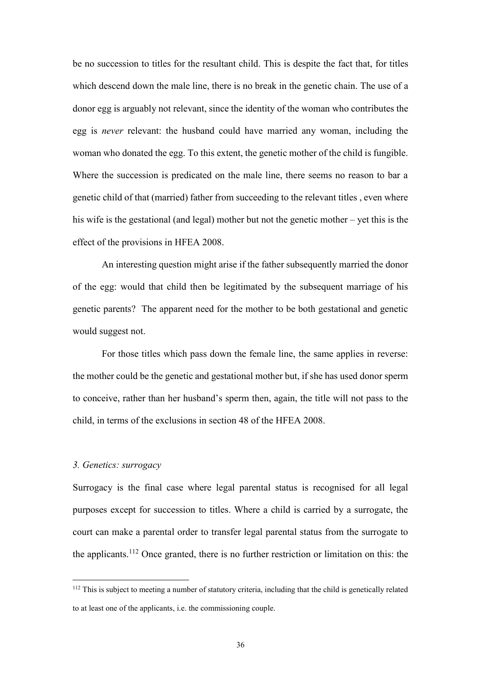be no succession to titles for the resultant child. This is despite the fact that, for titles which descend down the male line, there is no break in the genetic chain. The use of a donor egg is arguably not relevant, since the identity of the woman who contributes the egg is *never* relevant: the husband could have married any woman, including the woman who donated the egg. To this extent, the genetic mother of the child is fungible. Where the succession is predicated on the male line, there seems no reason to bar a genetic child of that (married) father from succeeding to the relevant titles , even where his wife is the gestational (and legal) mother but not the genetic mother – yet this is the effect of the provisions in HFEA 2008.

An interesting question might arise if the father subsequently married the donor of the egg: would that child then be legitimated by the subsequent marriage of his genetic parents? The apparent need for the mother to be both gestational and genetic would suggest not.

For those titles which pass down the female line, the same applies in reverse: the mother could be the genetic and gestational mother but, if she has used donor sperm to conceive, rather than her husband's sperm then, again, the title will not pass to the child, in terms of the exclusions in section 48 of the HFEA 2008.

#### *3. Genetics: surrogacy*

<u>.</u>

Surrogacy is the final case where legal parental status is recognised for all legal purposes except for succession to titles. Where a child is carried by a surrogate, the court can make a parental order to transfer legal parental status from the surrogate to the applicants.<sup>112</sup> Once granted, there is no further restriction or limitation on this: the

<sup>112</sup> This is subject to meeting a number of statutory criteria, including that the child is genetically related to at least one of the applicants, i.e. the commissioning couple.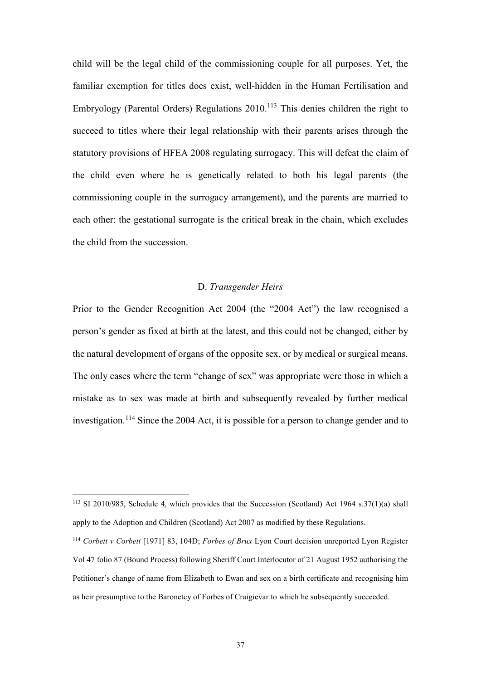child will be the legal child of the commissioning couple for all purposes. Yet, the familiar exemption for titles does exist, well-hidden in the Human Fertilisation and Embryology (Parental Orders) Regulations 2010.<sup>113</sup> This denies children the right to succeed to titles where their legal relationship with their parents arises through the statutory provisions of HFEA 2008 regulating surrogacy. This will defeat the claim of the child even where he is genetically related to both his legal parents (the commissioning couple in the surrogacy arrangement), and the parents are married to each other: the gestational surrogate is the critical break in the chain, which excludes the child from the succession.

# D. *Transgender Heirs*

Prior to the Gender Recognition Act 2004 (the "2004 Act") the law recognised a person's gender as fixed at birth at the latest, and this could not be changed, either by the natural development of organs of the opposite sex, or by medical or surgical means. The only cases where the term "change of sex" was appropriate were those in which a mistake as to sex was made at birth and subsequently revealed by further medical investigation.<sup>114</sup> Since the 2004 Act, it is possible for a person to change gender and to

<sup>113</sup> SI 2010/985, Schedule 4, which provides that the Succession (Scotland) Act 1964 s.37(1)(a) shall apply to the Adoption and Children (Scotland) Act 2007 as modified by these Regulations.

<sup>114</sup> *Corbett v Corbett* [1971] 83, 104D; *Forbes of Brux* Lyon Court decision unreported Lyon Register Vol 47 folio 87 (Bound Process) following Sheriff Court Interlocutor of 21 August 1952 authorising the Petitioner's change of name from Elizabeth to Ewan and sex on a birth certificate and recognising him as heir presumptive to the Baronetcy of Forbes of Craigievar to which he subsequently succeeded.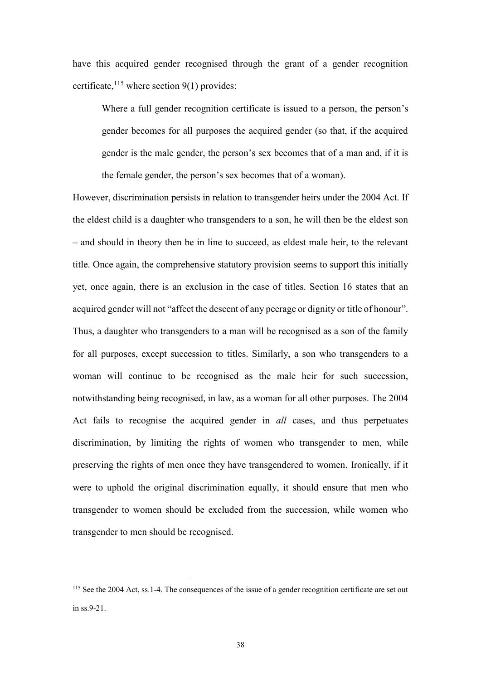have this acquired gender recognised through the grant of a gender recognition certificate,  $^{115}$  where section 9(1) provides:

Where a full gender recognition certificate is issued to a person, the person's gender becomes for all purposes the acquired gender (so that, if the acquired gender is the male gender, the person's sex becomes that of a man and, if it is the female gender, the person's sex becomes that of a woman).

However, discrimination persists in relation to transgender heirs under the 2004 Act. If the eldest child is a daughter who transgenders to a son, he will then be the eldest son – and should in theory then be in line to succeed, as eldest male heir, to the relevant title. Once again, the comprehensive statutory provision seems to support this initially yet, once again, there is an exclusion in the case of titles. Section 16 states that an acquired gender will not "affect the descent of any peerage or dignity or title of honour". Thus, a daughter who transgenders to a man will be recognised as a son of the family for all purposes, except succession to titles. Similarly, a son who transgenders to a woman will continue to be recognised as the male heir for such succession, notwithstanding being recognised, in law, as a woman for all other purposes. The 2004 Act fails to recognise the acquired gender in *all* cases, and thus perpetuates discrimination, by limiting the rights of women who transgender to men, while preserving the rights of men once they have transgendered to women. Ironically, if it were to uphold the original discrimination equally, it should ensure that men who transgender to women should be excluded from the succession, while women who transgender to men should be recognised.

<sup>&</sup>lt;sup>115</sup> See the 2004 Act, ss.1-4. The consequences of the issue of a gender recognition certificate are set out in ss.9-21.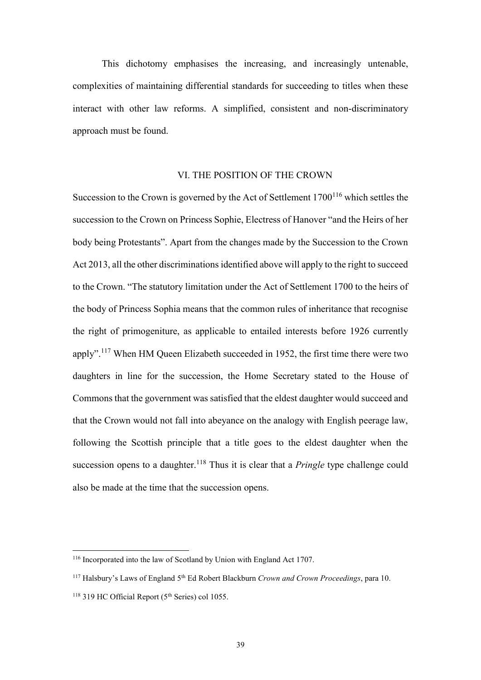This dichotomy emphasises the increasing, and increasingly untenable, complexities of maintaining differential standards for succeeding to titles when these interact with other law reforms. A simplified, consistent and non-discriminatory approach must be found.

# VI. THE POSITION OF THE CROWN

Succession to the Crown is governed by the Act of Settlement  $1700^{116}$  which settles the succession to the Crown on Princess Sophie, Electress of Hanover "and the Heirs of her body being Protestants". Apart from the changes made by the Succession to the Crown Act 2013, all the other discriminations identified above will apply to the right to succeed to the Crown. "The statutory limitation under the Act of Settlement 1700 to the heirs of the body of Princess Sophia means that the common rules of inheritance that recognise the right of primogeniture, as applicable to entailed interests before 1926 currently apply".<sup>117</sup> When HM Queen Elizabeth succeeded in 1952, the first time there were two daughters in line for the succession, the Home Secretary stated to the House of Commons that the government was satisfied that the eldest daughter would succeed and that the Crown would not fall into abeyance on the analogy with English peerage law, following the Scottish principle that a title goes to the eldest daughter when the succession opens to a daughter.<sup>118</sup> Thus it is clear that a *Pringle* type challenge could also be made at the time that the succession opens.

<sup>116</sup> Incorporated into the law of Scotland by Union with England Act 1707.

<sup>117</sup> Halsbury's Laws of England 5th Ed Robert Blackburn *Crown and Crown Proceedings*, para 10.

 $118$  319 HC Official Report ( $5<sup>th</sup>$  Series) col 1055.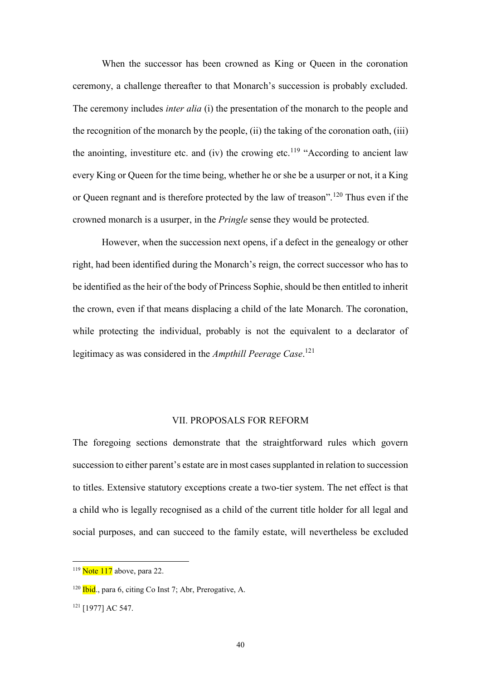When the successor has been crowned as King or Queen in the coronation ceremony, a challenge thereafter to that Monarch's succession is probably excluded. The ceremony includes *inter alia* (i) the presentation of the monarch to the people and the recognition of the monarch by the people, (ii) the taking of the coronation oath, (iii) the anointing, investiture etc. and (iv) the crowing etc.<sup>119</sup> "According to ancient law every King or Queen for the time being, whether he or she be a usurper or not, it a King or Queen regnant and is therefore protected by the law of treason".<sup>120</sup> Thus even if the crowned monarch is a usurper, in the *Pringle* sense they would be protected.

However, when the succession next opens, if a defect in the genealogy or other right, had been identified during the Monarch's reign, the correct successor who has to be identified as the heir of the body of Princess Sophie, should be then entitled to inherit the crown, even if that means displacing a child of the late Monarch. The coronation, while protecting the individual, probably is not the equivalent to a declarator of legitimacy as was considered in the *Ampthill Peerage Case*. 121

# VII. PROPOSALS FOR REFORM

The foregoing sections demonstrate that the straightforward rules which govern succession to either parent's estate are in most cases supplanted in relation to succession to titles. Extensive statutory exceptions create a two-tier system. The net effect is that a child who is legally recognised as a child of the current title holder for all legal and social purposes, and can succeed to the family estate, will nevertheless be excluded

 $119$  Note 117 above, para 22.

 $120$  Ibid., para 6, citing Co Inst 7; Abr, Prerogative, A.

<sup>121</sup> [1977] AC 547.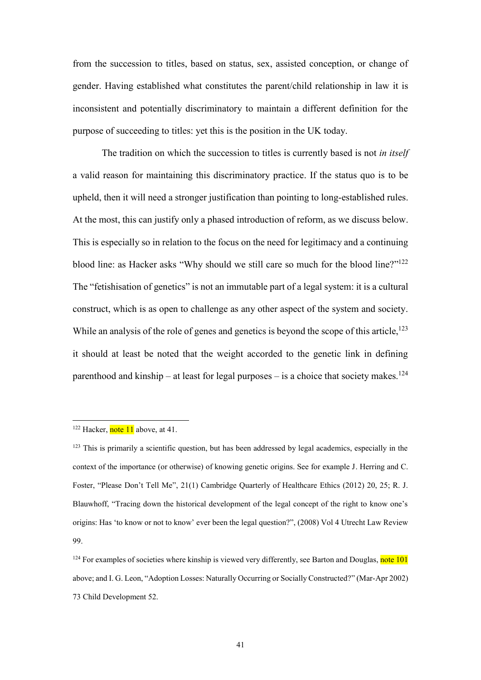from the succession to titles, based on status, sex, assisted conception, or change of gender. Having established what constitutes the parent/child relationship in law it is inconsistent and potentially discriminatory to maintain a different definition for the purpose of succeeding to titles: yet this is the position in the UK today.

The tradition on which the succession to titles is currently based is not *in itself* a valid reason for maintaining this discriminatory practice. If the status quo is to be upheld, then it will need a stronger justification than pointing to long-established rules. At the most, this can justify only a phased introduction of reform, as we discuss below. This is especially so in relation to the focus on the need for legitimacy and a continuing blood line: as Hacker asks "Why should we still care so much for the blood line?"<sup>122</sup> The "fetishisation of genetics" is not an immutable part of a legal system: it is a cultural construct, which is as open to challenge as any other aspect of the system and society. While an analysis of the role of genes and genetics is beyond the scope of this article,<sup>123</sup> it should at least be noted that the weight accorded to the genetic link in defining parenthood and kinship – at least for legal purposes – is a choice that society makes.<sup>124</sup>

<sup>&</sup>lt;sup>122</sup> Hacker, note 11 above, at 41.

<sup>&</sup>lt;sup>123</sup> This is primarily a scientific question, but has been addressed by legal academics, especially in the context of the importance (or otherwise) of knowing genetic origins. See for example J. Herring and C. Foster, "Please Don't Tell Me", 21(1) Cambridge Quarterly of Healthcare Ethics (2012) 20, 25; R. J. Blauwhoff, "Tracing down the historical development of the legal concept of the right to know one's origins: Has 'to know or not to know' ever been the legal question?", (2008) Vol 4 Utrecht Law Review 99.

 $124$  For examples of societies where kinship is viewed very differently, see Barton and Douglas, note 101 above; and I. G. Leon, "Adoption Losses: Naturally Occurring or Socially Constructed?" (Mar-Apr 2002) 73 Child Development 52.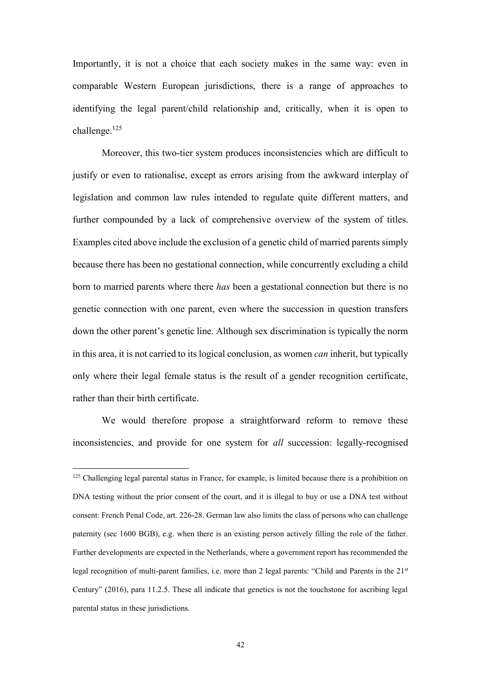Importantly, it is not a choice that each society makes in the same way: even in comparable Western European jurisdictions, there is a range of approaches to identifying the legal parent/child relationship and, critically, when it is open to challenge.<sup>125</sup>

Moreover, this two-tier system produces inconsistencies which are difficult to justify or even to rationalise, except as errors arising from the awkward interplay of legislation and common law rules intended to regulate quite different matters, and further compounded by a lack of comprehensive overview of the system of titles. Examples cited above include the exclusion of a genetic child of married parents simply because there has been no gestational connection, while concurrently excluding a child born to married parents where there *has* been a gestational connection but there is no genetic connection with one parent, even where the succession in question transfers down the other parent's genetic line. Although sex discrimination is typically the norm in this area, it is not carried to its logical conclusion, as women *can* inherit, but typically only where their legal female status is the result of a gender recognition certificate, rather than their birth certificate.

We would therefore propose a straightforward reform to remove these inconsistencies, and provide for one system for *all* succession: legally-recognised

<sup>&</sup>lt;sup>125</sup> Challenging legal parental status in France, for example, is limited because there is a prohibition on DNA testing without the prior consent of the court, and it is illegal to buy or use a DNA test without consent: French Penal Code, art. 226-28. German law also limits the class of persons who can challenge paternity (sec 1600 BGB), e.g. when there is an existing person actively filling the role of the father. Further developments are expected in the Netherlands, where a government report has recommended the legal recognition of multi-parent families, i.e. more than 2 legal parents: "Child and Parents in the 21<sup>st</sup> Century" (2016), para 11.2.5. These all indicate that genetics is not the touchstone for ascribing legal parental status in these jurisdictions.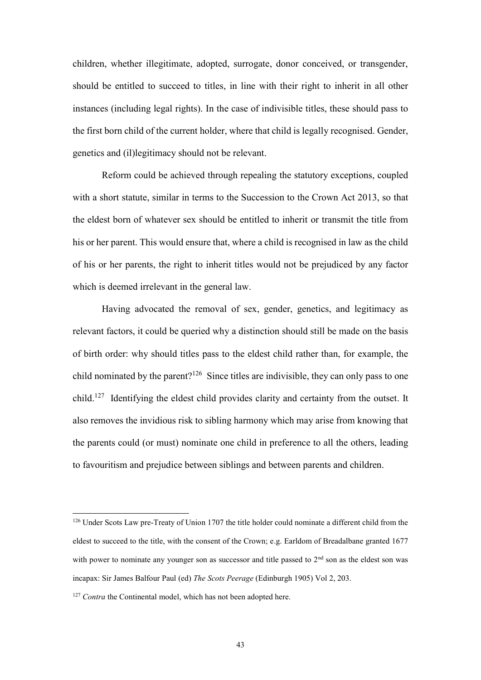children, whether illegitimate, adopted, surrogate, donor conceived, or transgender, should be entitled to succeed to titles, in line with their right to inherit in all other instances (including legal rights). In the case of indivisible titles, these should pass to the first born child of the current holder, where that child is legally recognised. Gender, genetics and (il)legitimacy should not be relevant.

Reform could be achieved through repealing the statutory exceptions, coupled with a short statute, similar in terms to the Succession to the Crown Act 2013, so that the eldest born of whatever sex should be entitled to inherit or transmit the title from his or her parent. This would ensure that, where a child is recognised in law as the child of his or her parents, the right to inherit titles would not be prejudiced by any factor which is deemed irrelevant in the general law.

Having advocated the removal of sex, gender, genetics, and legitimacy as relevant factors, it could be queried why a distinction should still be made on the basis of birth order: why should titles pass to the eldest child rather than, for example, the child nominated by the parent?<sup>126</sup> Since titles are indivisible, they can only pass to one child.<sup>127</sup> Identifying the eldest child provides clarity and certainty from the outset. It also removes the invidious risk to sibling harmony which may arise from knowing that the parents could (or must) nominate one child in preference to all the others, leading to favouritism and prejudice between siblings and between parents and children.

<sup>&</sup>lt;sup>126</sup> Under Scots Law pre-Treaty of Union 1707 the title holder could nominate a different child from the eldest to succeed to the title, with the consent of the Crown; e.g. Earldom of Breadalbane granted 1677 with power to nominate any younger son as successor and title passed to  $2<sup>nd</sup>$  son as the eldest son was incapax: Sir James Balfour Paul (ed) *The Scots Peerage* (Edinburgh 1905) Vol 2, 203.

<sup>&</sup>lt;sup>127</sup> *Contra* the Continental model, which has not been adopted here.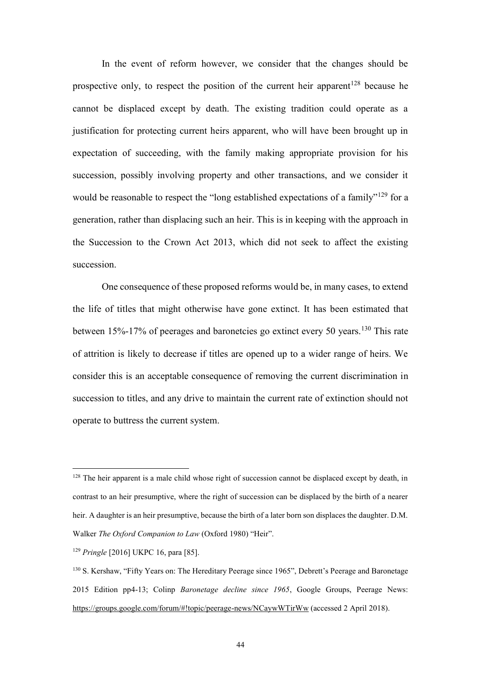In the event of reform however, we consider that the changes should be prospective only, to respect the position of the current heir apparent<sup>128</sup> because he cannot be displaced except by death. The existing tradition could operate as a justification for protecting current heirs apparent, who will have been brought up in expectation of succeeding, with the family making appropriate provision for his succession, possibly involving property and other transactions, and we consider it would be reasonable to respect the "long established expectations of a family"<sup>129</sup> for a generation, rather than displacing such an heir. This is in keeping with the approach in the Succession to the Crown Act 2013, which did not seek to affect the existing succession.

One consequence of these proposed reforms would be, in many cases, to extend the life of titles that might otherwise have gone extinct. It has been estimated that between 15%-17% of peerages and baronetcies go extinct every 50 years.<sup>130</sup> This rate of attrition is likely to decrease if titles are opened up to a wider range of heirs. We consider this is an acceptable consequence of removing the current discrimination in succession to titles, and any drive to maintain the current rate of extinction should not operate to buttress the current system.

<sup>&</sup>lt;sup>128</sup> The heir apparent is a male child whose right of succession cannot be displaced except by death, in contrast to an heir presumptive, where the right of succession can be displaced by the birth of a nearer heir. A daughter is an heir presumptive, because the birth of a later born son displaces the daughter. D.M. Walker *The Oxford Companion to Law* (Oxford 1980) "Heir".

<sup>129</sup> *Pringle* [2016] UKPC 16, para [85].

<sup>130</sup> S. Kershaw, "Fifty Years on: The Hereditary Peerage since 1965", Debrett's Peerage and Baronetage 2015 Edition pp4-13; Colinp *Baronetage decline since 1965*, Google Groups, Peerage News: <https://groups.google.com/forum/#!topic/peerage-news/NCaywWTirWw> (accessed 2 April 2018).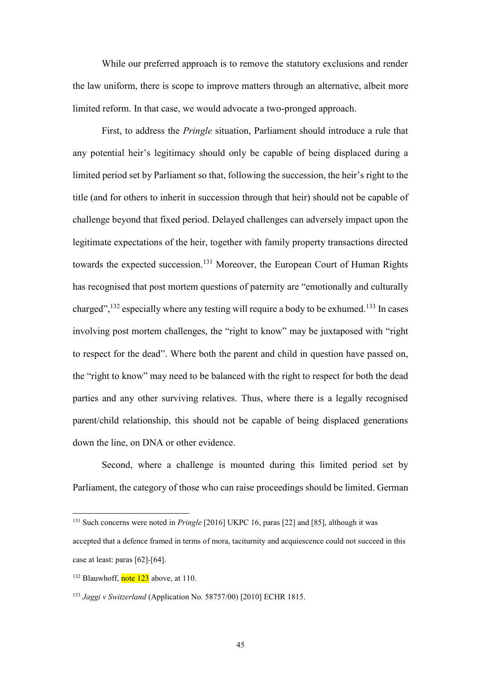While our preferred approach is to remove the statutory exclusions and render the law uniform, there is scope to improve matters through an alternative, albeit more limited reform. In that case, we would advocate a two-pronged approach.

First, to address the *Pringle* situation, Parliament should introduce a rule that any potential heir's legitimacy should only be capable of being displaced during a limited period set by Parliament so that, following the succession, the heir's right to the title (and for others to inherit in succession through that heir) should not be capable of challenge beyond that fixed period. Delayed challenges can adversely impact upon the legitimate expectations of the heir, together with family property transactions directed towards the expected succession.<sup>131</sup> Moreover, the European Court of Human Rights has recognised that post mortem questions of paternity are "emotionally and culturally charged",<sup>132</sup> especially where any testing will require a body to be exhumed.<sup>133</sup> In cases involving post mortem challenges, the "right to know" may be juxtaposed with "right to respect for the dead". Where both the parent and child in question have passed on, the "right to know" may need to be balanced with the right to respect for both the dead parties and any other surviving relatives. Thus, where there is a legally recognised parent/child relationship, this should not be capable of being displaced generations down the line, on DNA or other evidence.

Second, where a challenge is mounted during this limited period set by Parliament, the category of those who can raise proceedings should be limited. German

<sup>131</sup> Such concerns were noted in *Pringle* [2016] UKPC 16, paras [22] and [85], although it was

accepted that a defence framed in terms of mora, taciturnity and acquiescence could not succeed in this case at least: paras [62]-[64].

 $132$  Blauwhoff, note 123 above, at 110.

<sup>133</sup> *Jaggi v Switzerland* (Application No. 58757/00) [2010] ECHR 1815.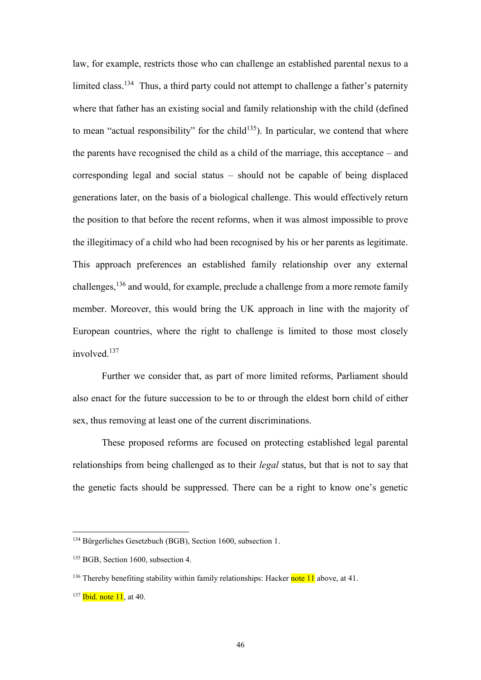law, for example, restricts those who can challenge an established parental nexus to a limited class.<sup>134</sup> Thus, a third party could not attempt to challenge a father's paternity where that father has an existing social and family relationship with the child (defined to mean "actual responsibility" for the child<sup>135</sup>). In particular, we contend that where the parents have recognised the child as a child of the marriage, this acceptance – and corresponding legal and social status – should not be capable of being displaced generations later, on the basis of a biological challenge. This would effectively return the position to that before the recent reforms, when it was almost impossible to prove the illegitimacy of a child who had been recognised by his or her parents as legitimate. This approach preferences an established family relationship over any external challenges, $136$  and would, for example, preclude a challenge from a more remote family member. Moreover, this would bring the UK approach in line with the majority of European countries, where the right to challenge is limited to those most closely involved<sup>137</sup>

Further we consider that, as part of more limited reforms, Parliament should also enact for the future succession to be to or through the eldest born child of either sex, thus removing at least one of the current discriminations.

These proposed reforms are focused on protecting established legal parental relationships from being challenged as to their *legal* status, but that is not to say that the genetic facts should be suppressed. There can be a right to know one's genetic

<sup>134</sup> Bürgerliches Gesetzbuch (BGB), Section 1600, subsection 1.

<sup>&</sup>lt;sup>135</sup> BGB, Section 1600, subsection 4.

<sup>&</sup>lt;sup>136</sup> Thereby benefiting stability within family relationships: Hacker note 11 above, at 41.

 $137$  Ibid. note 11, at 40.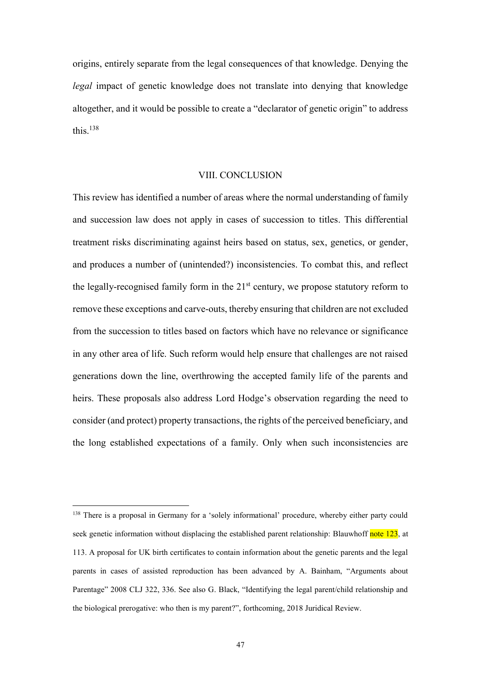origins, entirely separate from the legal consequences of that knowledge. Denying the *legal* impact of genetic knowledge does not translate into denying that knowledge altogether, and it would be possible to create a "declarator of genetic origin" to address this. $138$ 

# VIII. CONCLUSION

This review has identified a number of areas where the normal understanding of family and succession law does not apply in cases of succession to titles. This differential treatment risks discriminating against heirs based on status, sex, genetics, or gender, and produces a number of (unintended?) inconsistencies. To combat this, and reflect the legally-recognised family form in the  $21<sup>st</sup>$  century, we propose statutory reform to remove these exceptions and carve-outs, thereby ensuring that children are not excluded from the succession to titles based on factors which have no relevance or significance in any other area of life. Such reform would help ensure that challenges are not raised generations down the line, overthrowing the accepted family life of the parents and heirs. These proposals also address Lord Hodge's observation regarding the need to consider (and protect) property transactions, the rights of the perceived beneficiary, and the long established expectations of a family. Only when such inconsistencies are

<sup>&</sup>lt;sup>138</sup> There is a proposal in Germany for a 'solely informational' procedure, whereby either party could seek genetic information without displacing the established parent relationship: Blauwhoff note 123, at 113. A proposal for UK birth certificates to contain information about the genetic parents and the legal parents in cases of assisted reproduction has been advanced by A. Bainham, "Arguments about Parentage" 2008 CLJ 322, 336. See also G. Black, "Identifying the legal parent/child relationship and the biological prerogative: who then is my parent?", forthcoming, 2018 Juridical Review.